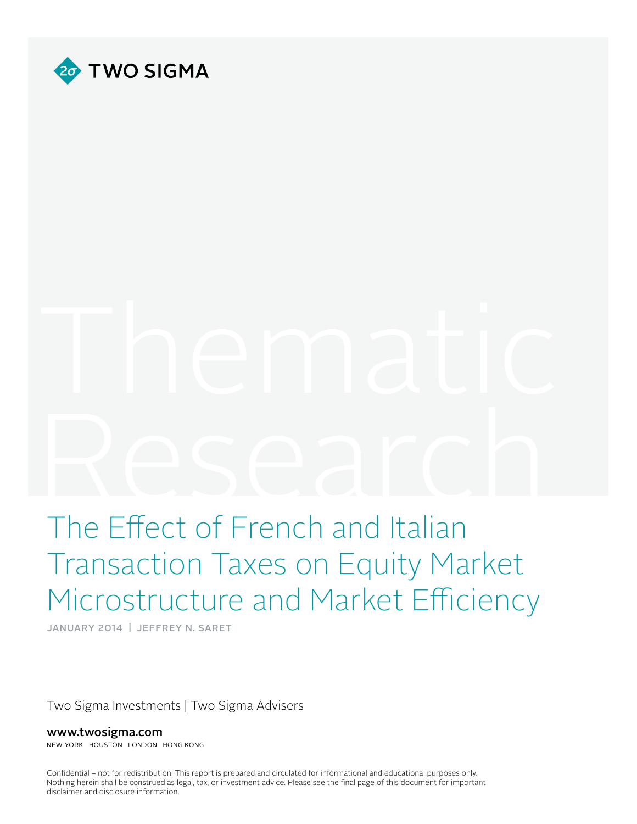

# $R_{\text{C}}$   $S_{\text{C}}$   $S_{\text{C}}$   $S_{\text{C}}$   $S_{\text{C}}$   $S_{\text{C}}$   $S_{\text{C}}$   $S_{\text{C}}$   $S_{\text{C}}$   $S_{\text{C}}$   $S_{\text{C}}$   $S_{\text{C}}$   $S_{\text{C}}$   $S_{\text{C}}$   $S_{\text{C}}$   $S_{\text{C}}$   $S_{\text{C}}$   $S_{\text{C}}$   $S_{\text{C}}$   $S_{\text{C}}$   $S_{\text{C}}$   $S_{\text{C}}$

# The Effect of French and Italian Transaction Taxes on Equity Market Microstructure and Market Efficiency

JANUARY 2014 | JEFFREY N. SARET

Two Sigma Investments | Two Sigma Advisers

www.twosigma.com

NEW YORK HOUSTON LONDON HONG KONG

Confidential – not for redistribution. This report is prepared and circulated for informational and educational purposes only. Nothing herein shall be construed as legal, tax, or investment advice. Please see the final page of this document for important disclaimer and disclosure information.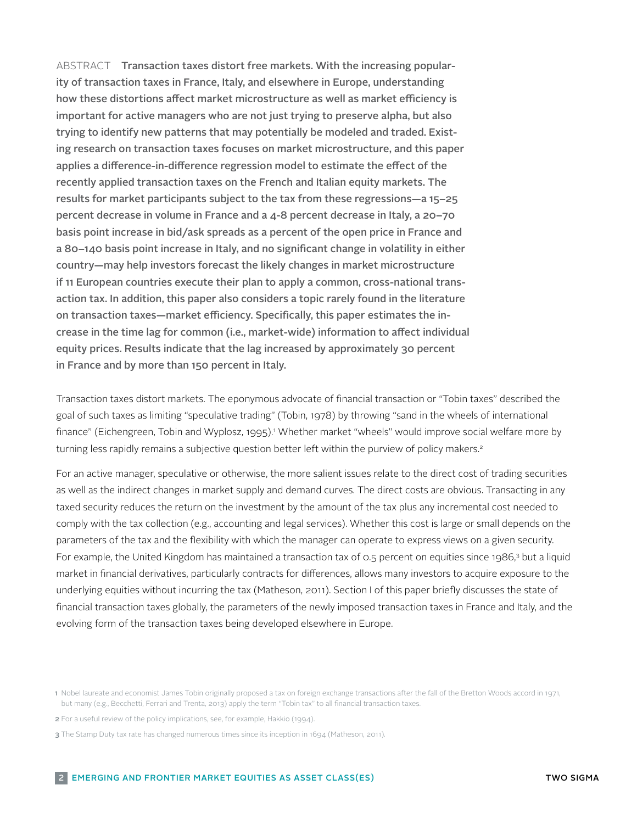ABSTRACT Transaction taxes distort free markets. With the increasing popularity of transaction taxes in France, Italy, and elsewhere in Europe, understanding how these distortions affect market microstructure as well as market efficiency is important for active managers who are not just trying to preserve alpha, but also trying to identify new patterns that may potentially be modeled and traded. Existing research on transaction taxes focuses on market microstructure, and this paper applies a difference-in-difference regression model to estimate the effect of the recently applied transaction taxes on the French and Italian equity markets. The results for market participants subject to the tax from these regressions—a 15–25 percent decrease in volume in France and a 4-8 percent decrease in Italy, a 20–70 basis point increase in bid/ask spreads as a percent of the open price in France and a 80–140 basis point increase in Italy, and no significant change in volatility in either country—may help investors forecast the likely changes in market microstructure if 11 European countries execute their plan to apply a common, cross-national transaction tax. In addition, this paper also considers a topic rarely found in the literature on transaction taxes—market efficiency. Specifically, this paper estimates the increase in the time lag for common (i.e., market-wide) information to affect individual equity prices. Results indicate that the lag increased by approximately 30 percent in France and by more than 150 percent in Italy.

Transaction taxes distort markets. The eponymous advocate of financial transaction or "Tobin taxes" described the goal of such taxes as limiting "speculative trading" (Tobin, 1978) by throwing "sand in the wheels of international finance" (Eichengreen, Tobin and Wyplosz, 1995).' Whether market "wheels" would improve social welfare more by turning less rapidly remains a subjective question better left within the purview of policy makers.<sup>2</sup>

For an active manager, speculative or otherwise, the more salient issues relate to the direct cost of trading securities as well as the indirect changes in market supply and demand curves. The direct costs are obvious. Transacting in any taxed security reduces the return on the investment by the amount of the tax plus any incremental cost needed to comply with the tax collection (e.g., accounting and legal services). Whether this cost is large or small depends on the parameters of the tax and the flexibility with which the manager can operate to express views on a given security. For example, the United Kingdom has maintained a transaction tax of 0.5 percent on equities since 1986,<sup>3</sup> but a liquid market in financial derivatives, particularly contracts for differences, allows many investors to acquire exposure to the underlying equities without incurring the tax (Matheson, 2011). Section I of this paper briefly discusses the state of financial transaction taxes globally, the parameters of the newly imposed transaction taxes in France and Italy, and the evolving form of the transaction taxes being developed elsewhere in Europe.

<sup>1</sup> Nobel laureate and economist James Tobin originally proposed a tax on foreign exchange transactions after the fall of the Bretton Woods accord in 1971, but many (e.g., Becchetti, Ferrari and Trenta, 2013) apply the term "Tobin tax" to all financial transaction taxes.

<sup>2</sup> For a useful review of the policy implications, see, for example, Hakkio (1994).

<sup>3</sup> The Stamp Duty tax rate has changed numerous times since its inception in 1694 (Matheson, 2011).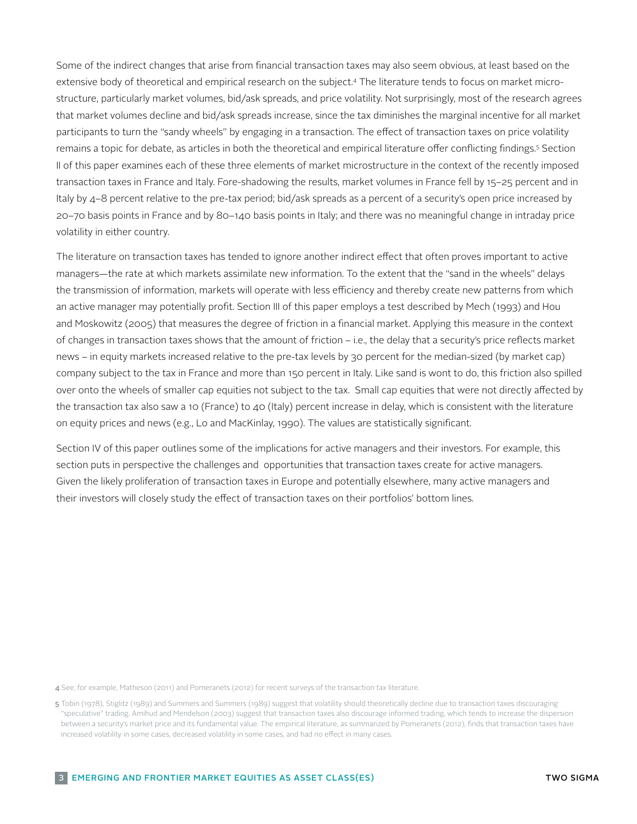Some of the indirect changes that arise from financial transaction taxes may also seem obvious, at least based on the extensive body of theoretical and empirical research on the subject.4 The literature tends to focus on market microstructure, particularly market volumes, bid/ask spreads, and price volatility. Not surprisingly, most of the research agrees that market volumes decline and bid/ask spreads increase, since the tax diminishes the marginal incentive for all market participants to turn the "sandy wheels" by engaging in a transaction. The effect of transaction taxes on price volatility remains a topic for debate, as articles in both the theoretical and empirical literature offer conflicting findings.<sup>5</sup> Section II of this paper examines each of these three elements of market microstructure in the context of the recently imposed transaction taxes in France and Italy. Fore-shadowing the results, market volumes in France fell by 15–25 percent and in Italy by 4–8 percent relative to the pre-tax period; bid/ask spreads as a percent of a security's open price increased by 20–70 basis points in France and by 80–140 basis points in Italy; and there was no meaningful change in intraday price volatility in either country.

The literature on transaction taxes has tended to ignore another indirect effect that often proves important to active managers—the rate at which markets assimilate new information. To the extent that the "sand in the wheels" delays the transmission of information, markets will operate with less efficiency and thereby create new patterns from which an active manager may potentially profit. Section III of this paper employs a test described by Mech (1993) and Hou and Moskowitz (2005) that measures the degree of friction in a financial market. Applying this measure in the context of changes in transaction taxes shows that the amount of friction – i.e., the delay that a security's price reflects market news – in equity markets increased relative to the pre-tax levels by 30 percent for the median-sized (by market cap) company subject to the tax in France and more than 150 percent in Italy. Like sand is wont to do, this friction also spilled over onto the wheels of smaller cap equities not subject to the tax. Small cap equities that were not directly affected by the transaction tax also saw a 10 (France) to 40 (Italy) percent increase in delay, which is consistent with the literature on equity prices and news (e.g., Lo and MacKinlay, 1990). The values are statistically significant.

Section IV of this paper outlines some of the implications for active managers and their investors. For example, this section puts in perspective the challenges and opportunities that transaction taxes create for active managers. Given the likely proliferation of transaction taxes in Europe and potentially elsewhere, many active managers and their investors will closely study the effect of transaction taxes on their portfolios' bottom lines.

4 See, for example, Matheson (2011) and Pomeranets (2012) for recent surveys of the transaction tax literature.

<sup>5</sup> Tobin (1978), Stiglitz (1989) and Summers and Summers (1989) suggest that volatility should theoretically decline due to transaction taxes discouraging "speculative" trading. Amihud and Mendelson (2003) suggest that transaction taxes also discourage informed trading, which tends to increase the dispersion between a security's market price and its fundamental value. The empirical literature, as summarized by Pomeranets (2012), finds that transaction taxes have increased volatility in some cases, decreased volatility in some cases, and had no effect in many cases.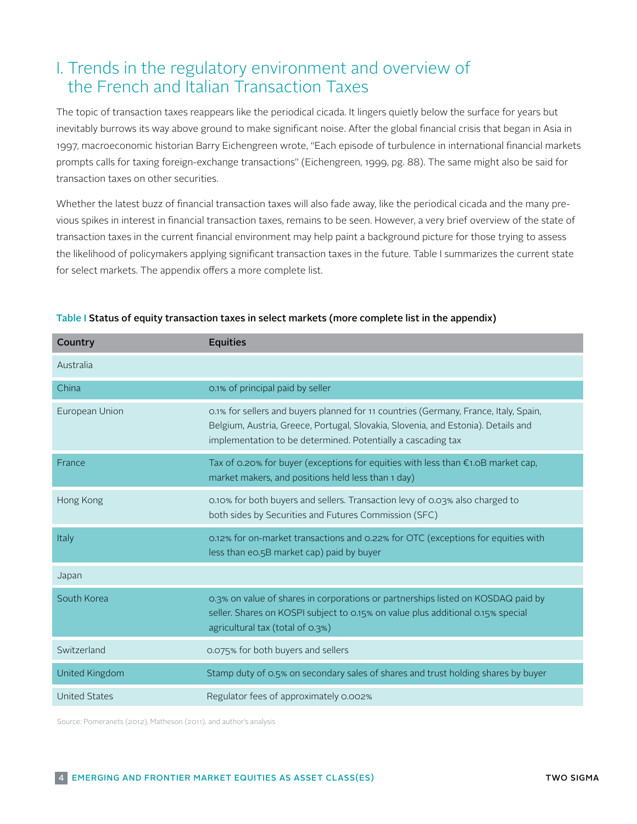# I. Trends in the regulatory environment and overview of the French and Italian Transaction Taxes

The topic of transaction taxes reappears like the periodical cicada. It lingers quietly below the surface for years but inevitably burrows its way above ground to make significant noise. After the global financial crisis that began in Asia in 1997, macroeconomic historian Barry Eichengreen wrote, "Each episode of turbulence in international financial markets prompts calls for taxing foreign-exchange transactions" (Eichengreen, 1999, pg. 88). The same might also be said for transaction taxes on other securities.

Whether the latest buzz of financial transaction taxes will also fade away, like the periodical cicada and the many previous spikes in interest in financial transaction taxes, remains to be seen. However, a very brief overview of the state of transaction taxes in the current financial environment may help paint a background picture for those trying to assess the likelihood of policymakers applying significant transaction taxes in the future. Table I summarizes the current state for select markets. The appendix offers a more complete list.

| Country              | <b>Equities</b>                                                                                                                                                                                                                           |
|----------------------|-------------------------------------------------------------------------------------------------------------------------------------------------------------------------------------------------------------------------------------------|
| Australia            |                                                                                                                                                                                                                                           |
| China                | 0.1% of principal paid by seller                                                                                                                                                                                                          |
| European Union       | 0.1% for sellers and buyers planned for 11 countries (Germany, France, Italy, Spain,<br>Belgium, Austria, Greece, Portugal, Slovakia, Slovenia, and Estonia). Details and<br>implementation to be determined. Potentially a cascading tax |
| France               | Tax of 0.20% for buyer (exceptions for equities with less than $\epsilon$ 1.0B market cap,<br>market makers, and positions held less than 1 day)                                                                                          |
| Hong Kong            | 0.10% for both buyers and sellers. Transaction levy of 0.03% also charged to<br>both sides by Securities and Futures Commission (SFC)                                                                                                     |
| Italy                | 0.12% for on-market transactions and 0.22% for OTC (exceptions for equities with<br>less than eo.5B market cap) paid by buyer                                                                                                             |
| Japan                |                                                                                                                                                                                                                                           |
| South Korea          | 0.3% on value of shares in corporations or partnerships listed on KOSDAQ paid by<br>seller. Shares on KOSPI subject to 0.15% on value plus additional 0.15% special<br>agricultural tax (total of 0.3%)                                   |
| Switzerland          | 0.075% for both buyers and sellers                                                                                                                                                                                                        |
| United Kingdom       | Stamp duty of 0.5% on secondary sales of shares and trust holding shares by buyer                                                                                                                                                         |
| <b>United States</b> | Regulator fees of approximately 0.002%                                                                                                                                                                                                    |

### Table I Status of equity transaction taxes in select markets (more complete list in the appendix)

Source: Pomeranets (2012), Matheson (2011), and author's analysis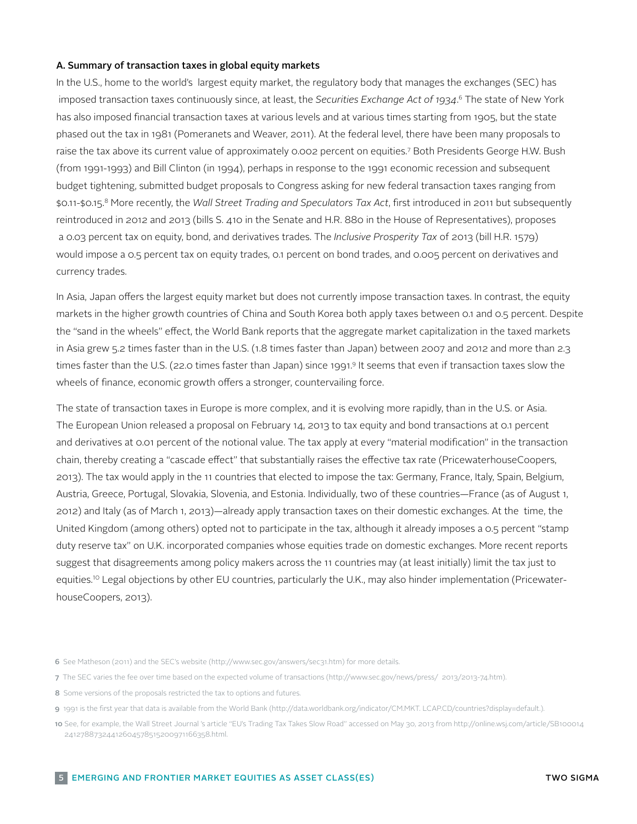### A. Summary of transaction taxes in global equity markets

In the U.S., home to the world's largest equity market, the regulatory body that manages the exchanges (SEC) has imposed transaction taxes continuously since, at least, the *Securities Exchange Act of 1934*. 6 The state of New York has also imposed financial transaction taxes at various levels and at various times starting from 1905, but the state phased out the tax in 1981 (Pomeranets and Weaver, 2011). At the federal level, there have been many proposals to raise the tax above its current value of approximately 0.002 percent on equities.7 Both Presidents George H.W. Bush (from 1991-1993) and Bill Clinton (in 1994), perhaps in response to the 1991 economic recession and subsequent budget tightening, submitted budget proposals to Congress asking for new federal transaction taxes ranging from \$0.11-\$0.15.8 More recently, the *Wall Street Trading and Speculators Tax Act*, first introduced in 2011 but subsequently reintroduced in 2012 and 2013 (bills S. 410 in the Senate and H.R. 880 in the House of Representatives), proposes a 0.03 percent tax on equity, bond, and derivatives trades. The *Inclusive Prosperity Tax* of 2013 (bill H.R. 1579) would impose a 0.5 percent tax on equity trades, 0.1 percent on bond trades, and 0.005 percent on derivatives and currency trades.

In Asia, Japan offers the largest equity market but does not currently impose transaction taxes. In contrast, the equity markets in the higher growth countries of China and South Korea both apply taxes between 0.1 and 0.5 percent. Despite the "sand in the wheels" effect, the World Bank reports that the aggregate market capitalization in the taxed markets in Asia grew 5.2 times faster than in the U.S. (1.8 times faster than Japan) between 2007 and 2012 and more than 2.3 times faster than the U.S. (22.0 times faster than Japan) since 1991.9 It seems that even if transaction taxes slow the wheels of finance, economic growth offers a stronger, countervailing force.

The state of transaction taxes in Europe is more complex, and it is evolving more rapidly, than in the U.S. or Asia. The European Union released a proposal on February 14, 2013 to tax equity and bond transactions at 0.1 percent and derivatives at 0.01 percent of the notional value. The tax apply at every "material modification" in the transaction chain, thereby creating a "cascade effect" that substantially raises the effective tax rate (PricewaterhouseCoopers, 2013). The tax would apply in the 11 countries that elected to impose the tax: Germany, France, Italy, Spain, Belgium, Austria, Greece, Portugal, Slovakia, Slovenia, and Estonia. Individually, two of these countries—France (as of August 1, 2012) and Italy (as of March 1, 2013)—already apply transaction taxes on their domestic exchanges. At the time, the United Kingdom (among others) opted not to participate in the tax, although it already imposes a 0.5 percent "stamp duty reserve tax" on U.K. incorporated companies whose equities trade on domestic exchanges. More recent reports suggest that disagreements among policy makers across the 11 countries may (at least initially) limit the tax just to equities.<sup>10</sup> Legal objections by other EU countries, particularly the U.K., may also hinder implementation (PricewaterhouseCoopers, 2013).

8 Some versions of the proposals restricted the tax to options and futures.

<sup>6</sup> See Matheson (2011) and the SEC's website (http://www.sec.gov/answers/sec31.htm) for more details.

<sup>7</sup> The SEC varies the fee over time based on the expected volume of transactions (http://www.sec.gov/news/press/ 2013/2013-74.htm).

<sup>9</sup> 1991 is the first year that data is available from the World Bank (http://data.worldbank.org/indicator/CM.MKT. LCAP.CD/countries?display=default.).

<sup>10</sup> See, for example, the Wall Street Journal 's article "EU's Trading Tax Takes Slow Road" accessed on May 30, 2013 from http://online.wsj.com/article/SB100014 24127887324412604578515200971166358.html.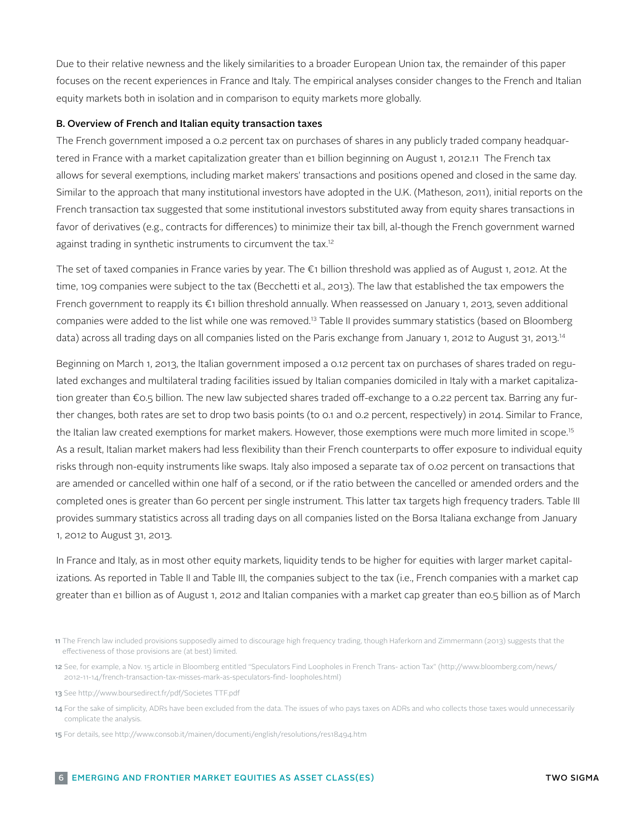Due to their relative newness and the likely similarities to a broader European Union tax, the remainder of this paper focuses on the recent experiences in France and Italy. The empirical analyses consider changes to the French and Italian equity markets both in isolation and in comparison to equity markets more globally.

### B. Overview of French and Italian equity transaction taxes

The French government imposed a 0.2 percent tax on purchases of shares in any publicly traded company headquartered in France with a market capitalization greater than e1 billion beginning on August 1, 2012.11 The French tax allows for several exemptions, including market makers' transactions and positions opened and closed in the same day. Similar to the approach that many institutional investors have adopted in the U.K. (Matheson, 2011), initial reports on the French transaction tax suggested that some institutional investors substituted away from equity shares transactions in favor of derivatives (e.g., contracts for differences) to minimize their tax bill, al-though the French government warned against trading in synthetic instruments to circumvent the tax.<sup>12</sup>

The set of taxed companies in France varies by year. The €1 billion threshold was applied as of August 1, 2012. At the time, 109 companies were subject to the tax (Becchetti et al., 2013). The law that established the tax empowers the French government to reapply its €1 billion threshold annually. When reassessed on January 1, 2013, seven additional companies were added to the list while one was removed.13 Table II provides summary statistics (based on Bloomberg data) across all trading days on all companies listed on the Paris exchange from January 1, 2012 to August 31, 2013.<sup>14</sup>

Beginning on March 1, 2013, the Italian government imposed a 0.12 percent tax on purchases of shares traded on regulated exchanges and multilateral trading facilities issued by Italian companies domiciled in Italy with a market capitalization greater than €0.5 billion. The new law subjected shares traded off-exchange to a 0.22 percent tax. Barring any further changes, both rates are set to drop two basis points (to 0.1 and 0.2 percent, respectively) in 2014. Similar to France, the Italian law created exemptions for market makers. However, those exemptions were much more limited in scope.<sup>15</sup> As a result, Italian market makers had less flexibility than their French counterparts to offer exposure to individual equity risks through non-equity instruments like swaps. Italy also imposed a separate tax of 0.02 percent on transactions that are amended or cancelled within one half of a second, or if the ratio between the cancelled or amended orders and the completed ones is greater than 60 percent per single instrument. This latter tax targets high frequency traders. Table III provides summary statistics across all trading days on all companies listed on the Borsa Italiana exchange from January 1, 2012 to August 31, 2013.

In France and Italy, as in most other equity markets, liquidity tends to be higher for equities with larger market capitalizations. As reported in Table II and Table III, the companies subject to the tax (i.e., French companies with a market cap greater than e1 billion as of August 1, 2012 and Italian companies with a market cap greater than e0.5 billion as of March

<sup>11</sup> The French law included provisions supposedly aimed to discourage high frequency trading, though Haferkorn and Zimmermann (2013) suggests that the effectiveness of those provisions are (at best) limited.

<sup>12</sup> See, for example, a Nov. 15 article in Bloomberg entitled "Speculators Find Loopholes in French Trans- action Tax" (http://www.bloomberg.com/news/ 2012-11-14/french-transaction-tax-misses-mark-as-speculators-find- loopholes.html)

<sup>13</sup> See http://www.boursedirect.fr/pdf/Societes TTF.pdf

<sup>14</sup> For the sake of simplicity, ADRs have been excluded from the data. The issues of who pays taxes on ADRs and who collects those taxes would unnecessarily complicate the analysis.

<sup>15</sup> For details, see http://www.consob.it/mainen/documenti/english/resolutions/res18494.htm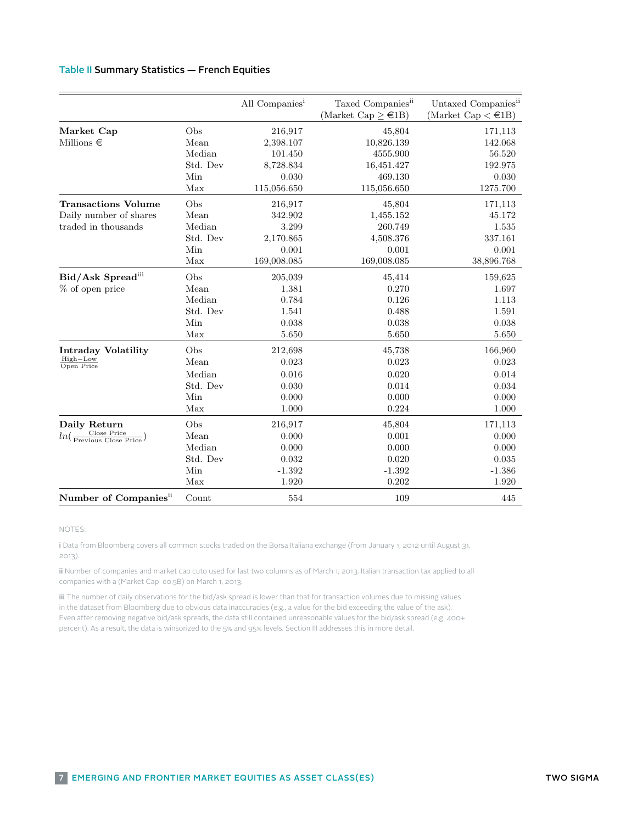# Table II: Summary Statistics – French Equities Table II Summary Statistics — French Equities

|                                                              |                       | All Companies <sup>1</sup> | Taxed Companies <sup>ii</sup><br>(Market Cap $\geq \epsilon$ 1B) | Untaxed Companies <sup>ii</sup><br>(Market Cap $\lt \epsilon$ 1B) |
|--------------------------------------------------------------|-----------------------|----------------------------|------------------------------------------------------------------|-------------------------------------------------------------------|
| Market Cap                                                   | Obs                   | 216,917                    | 45,804                                                           | 171,113                                                           |
| Millions $\in$                                               | Mean                  | 2,398.107                  | 10,826.139                                                       | 142.068                                                           |
|                                                              | Median                | 101.450                    | 4555.900                                                         | 56.520                                                            |
|                                                              | Std. Dev              | 8,728.834                  | 16,451.427                                                       | 192.975                                                           |
|                                                              | Min                   | 0.030                      | 469.130                                                          | 0.030                                                             |
|                                                              | Max                   | 115,056.650                | 115,056.650                                                      | 1275.700                                                          |
| <b>Transactions Volume</b>                                   | Obs                   | 216,917                    | 45,804                                                           | 171,113                                                           |
| Daily number of shares                                       | Mean                  | 342.902                    | 1,455.152                                                        | 45.172                                                            |
| traded in thousands                                          | Median                | 3.299                      | 260.749                                                          | 1.535                                                             |
|                                                              | Std. Dev              | 2,170.865                  | 4,508.376                                                        | 337.161                                                           |
|                                                              | Min                   | 0.001                      | 0.001                                                            | 0.001                                                             |
|                                                              | Max                   | 169,008.085                | 169,008.085                                                      | 38,896.768                                                        |
| Bid/Ask Spreadiii                                            | Obs                   | 205,039                    | 45,414                                                           | 159,625                                                           |
| % of open price                                              | Mean                  | 1.381                      | 0.270                                                            | 1.697                                                             |
|                                                              | Median                | 0.784                      | 0.126                                                            | 1.113                                                             |
|                                                              | Std. Dev              | 1.541                      | 0.488                                                            | 1.591                                                             |
|                                                              | Min                   | 0.038                      | 0.038                                                            | 0.038                                                             |
|                                                              | Max                   | 5.650                      | $5.650\,$                                                        | 5.650                                                             |
| <b>Intraday Volatility</b>                                   | Obs                   | 212,698                    | 45,738                                                           | 166,960                                                           |
| High-Low<br>Open Price                                       | Mean                  | 0.023                      | 0.023                                                            | 0.023                                                             |
|                                                              | Median                | 0.016                      | 0.020                                                            | 0.014                                                             |
|                                                              | Std. Dev              | 0.030                      | 0.014                                                            | 0.034                                                             |
|                                                              | Min                   | 0.000                      | 0.000                                                            | 0.000                                                             |
|                                                              | Max                   | 1.000                      | 0.224                                                            | 1.000                                                             |
| Daily Return                                                 | Obs                   | 216,917                    | 45,804                                                           | 171,113                                                           |
| $ln(\frac{\text{Close Price}}{\text{Previous Close Price}})$ | $\operatorname{Mean}$ | 0.000                      | 0.001                                                            | 0.000                                                             |
|                                                              | Median                | 0.000                      | 0.000                                                            | 0.000                                                             |
|                                                              | Std. Dev              | 0.032                      | 0.020                                                            | 0.035                                                             |
|                                                              | Min                   | $-1.392$                   | $-1.392$                                                         | $-1.386$                                                          |
|                                                              | Max                   | 1.920                      | 0.202                                                            | 1.920                                                             |
| Number of Companies <sup>ii</sup>                            | Count                 | 554                        | 109                                                              | 445                                                               |

### <sup>i</sup> Data from Bloomberg covers all common stocks traded on the Euronext Paris exchange (from January 1, NOTES:

2012 i Data from Pleemberg covers all cor i Data from Bloomberg covers all common stocks traded on the Borsa Italiana exchange (from January 1, 2012 until August 31,<br>במסכ 2013).

ii Number of companies and market cap cuto used for last two columns as of March 1, 2013. Italian transaction tax applied to all companies with a (Market Cap e0.5B) on March 1, 2013.

iii The number of daily observations for the bid/ask spread is lower than that for transaction volumes due to missing values in the dataset from Bloomberg due to obvious data inaccuracies (e.g., a value for the bid exceeding the value of the ask). Even after removing negative bid/ask spreads, the data still contained unreasonable values for the bid/ask spread (e.g. 400+ percent). As a result, the data is winsorized to the 5% and 95% levels. Section III addresses this in more detail.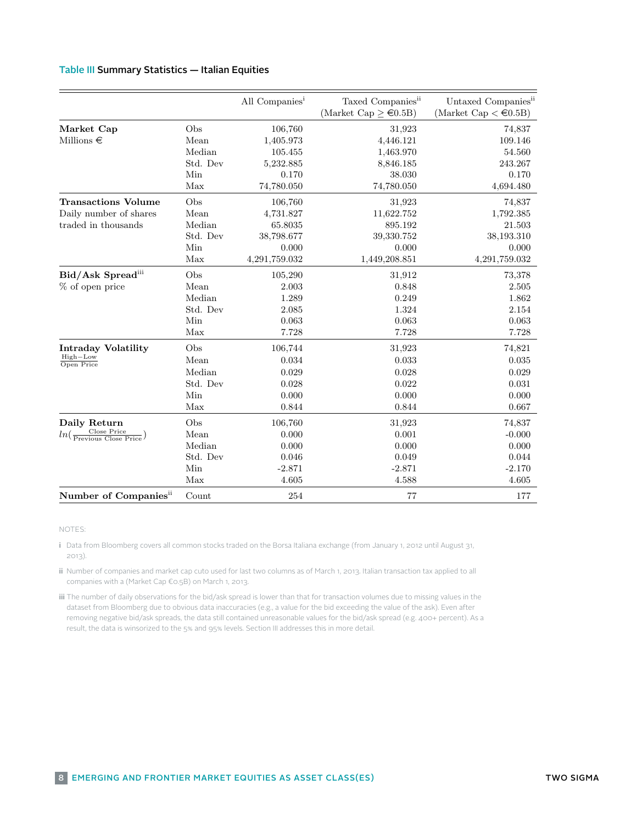### Table II: Summary Statistics – Italian Equities – Italian Equities – Italian Equities – Italian Equities – Italian Equities – Italian Equities – Italian Equities – Italian Equities – Italian Equities – Italian Equities – I Table III Summary Statistics — Italian Equities

|                                                              |          | All Companies <sup>1</sup> | Taxed Companies <sup>ii</sup>      | Untaxed Companies <sup>ii</sup> |
|--------------------------------------------------------------|----------|----------------------------|------------------------------------|---------------------------------|
|                                                              |          |                            | (Market Cap $\geq \epsilon 0.5B$ ) | (Market Cap $\lt \in 0.5B$ )    |
| Market Cap                                                   | Obs      | 106,760                    | 31,923                             | 74,837                          |
| Millions $\in$                                               | Mean     | 1,405.973                  | 4,446.121                          | 109.146                         |
|                                                              | Median   | 105.455                    | 1,463.970                          | 54.560                          |
|                                                              | Std. Dev | 5,232.885                  | 8,846.185                          | 243.267                         |
|                                                              | Min      | 0.170                      | 38.030                             | 0.170                           |
|                                                              | Max      | 74,780.050                 | 74,780.050                         | 4,694.480                       |
| <b>Transactions Volume</b>                                   | Obs      | 106,760                    | 31,923                             | 74,837                          |
| Daily number of shares                                       | Mean     | 4,731.827                  | 11,622.752                         | 1,792.385                       |
| traded in thousands                                          | Median   | 65.8035                    | 895.192                            | 21.503                          |
|                                                              | Std. Dev | 38,798.677                 | 39,330.752                         | 38,193.310                      |
|                                                              | Min      | 0.000                      | 0.000                              | 0.000                           |
|                                                              | Max      | 4,291,759.032              | 1,449,208.851                      | 4,291,759.032                   |
| Bid/Ask Spreadiii                                            | Obs      | 105,290                    | 31,912                             | 73,378                          |
| % of open price                                              | Mean     | 2.003                      | 0.848                              | 2.505                           |
|                                                              | Median   | 1.289                      | 0.249                              | 1.862                           |
|                                                              | Std. Dev | 2.085                      | 1.324                              | $2.154\,$                       |
|                                                              | Min      | 0.063                      | 0.063                              | 0.063                           |
|                                                              | Max      | 7.728                      | 7.728                              | 7.728                           |
| <b>Intraday Volatility</b>                                   | Obs      | 106,744                    | 31,923                             | 74,821                          |
| $High-Low$<br>Open Price                                     | Mean     | 0.034                      | 0.033                              | 0.035                           |
|                                                              | Median   | 0.029                      | 0.028                              | 0.029                           |
|                                                              | Std. Dev | 0.028                      | 0.022                              | 0.031                           |
|                                                              | Min      | 0.000                      | 0.000                              | 0.000                           |
|                                                              | Max      | 0.844                      | 0.844                              | 0.667                           |
| Daily Return                                                 | Obs      | 106,760                    | 31,923                             | 74,837                          |
| $ln(\frac{\text{Close Price}}{\text{Previous Close Price}})$ | Mean     | 0.000                      | 0.001                              | $-0.000$                        |
|                                                              | Median   | 0.000                      | 0.000                              | 0.000                           |
|                                                              | Std. Dev | 0.046                      | 0.049                              | 0.044                           |
|                                                              | Min      | $-2.871$                   | $-2.871$                           | $-2.170$                        |
|                                                              | Max      | 4.605                      | 4.588                              | 4.605                           |
| Number of Companies <sup>ii</sup>                            | Count    | 254                        | 77                                 | 177                             |

### i Data from Bloomberg covers all common stocks traded on the Borsa Italiana exchange (from January 1, 2012) is<br>Italiana exchange (from January 1, 2012) is a stock stock of the Borsa Italiana exchange (from January 1, 2012 NOTES:

- until August 31, 2013).<br>2013: Carl Britain and Carl Britain and Carl Britain and an anti-series and an anti-series and an anti-series ii Number of companies and market cap cutoff used for last two columns as of March 1, 2013. Italian transaction i Data from Bloomberg covers all common stocks traded on the Borsa Italiana exchange (from January 1, 2012 until August 31, 2013).
- دودی.<br>ii Number of companies and market cap cuto used for last two columns as of March 1, 2013. Italian transaction tax applied to all companies with a (Market Cap €0.5B) on March 1, 2013.
- iii The number of daily observations for the bid/ask spread is lower than that for transaction volumes due to missing values in the dataset from Bloomberg due to obvious data inaccuracies (e.g., a value for the bid exceeding the value of the ask). Even after removing negative bid/ask spreads, the data still contained unreasonable values for the bid/ask spread (e.g. 400+ percent). As a result, the data is winsorized to the 5% and 95% levels. Section III addresses this in more detail.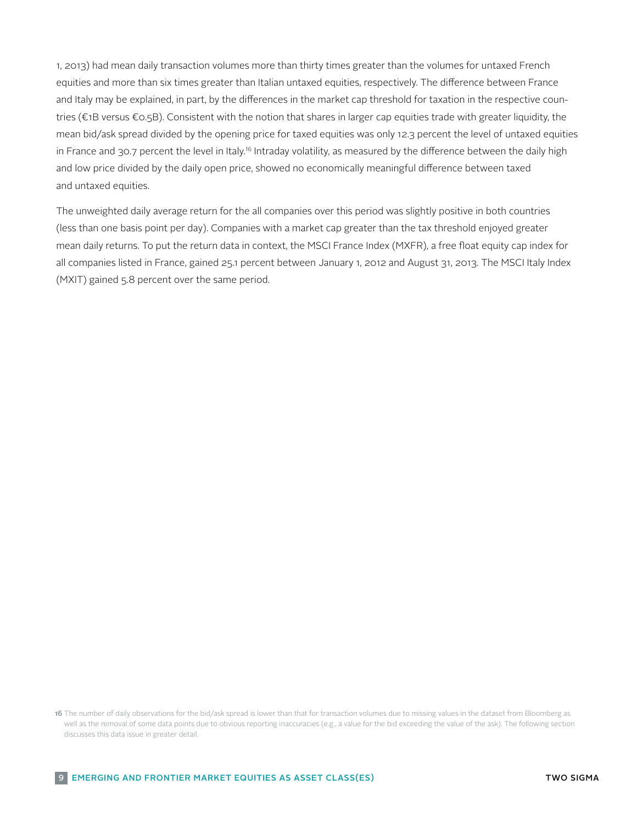1, 2013) had mean daily transaction volumes more than thirty times greater than the volumes for untaxed French equities and more than six times greater than Italian untaxed equities, respectively. The difference between France and Italy may be explained, in part, by the differences in the market cap threshold for taxation in the respective countries (€1B versus €0.5B). Consistent with the notion that shares in larger cap equities trade with greater liquidity, the mean bid/ask spread divided by the opening price for taxed equities was only 12.3 percent the level of untaxed equities in France and 30.7 percent the level in Italy.<sup>16</sup> Intraday volatility, as measured by the difference between the daily high and low price divided by the daily open price, showed no economically meaningful difference between taxed and untaxed equities.

The unweighted daily average return for the all companies over this period was slightly positive in both countries (less than one basis point per day). Companies with a market cap greater than the tax threshold enjoyed greater mean daily returns. To put the return data in context, the MSCI France Index (MXFR), a free float equity cap index for all companies listed in France, gained 25.1 percent between January 1, 2012 and August 31, 2013. The MSCI Italy Index (MXIT) gained 5.8 percent over the same period.

<sup>16</sup> The number of daily observations for the bid/ask spread is lower than that for transaction volumes due to missing values in the dataset from Bloomberg as well as the removal of some data points due to obvious reporting inaccuracies (e.g., a value for the bid exceeding the value of the ask). The following section discusses this data issue in greater detail.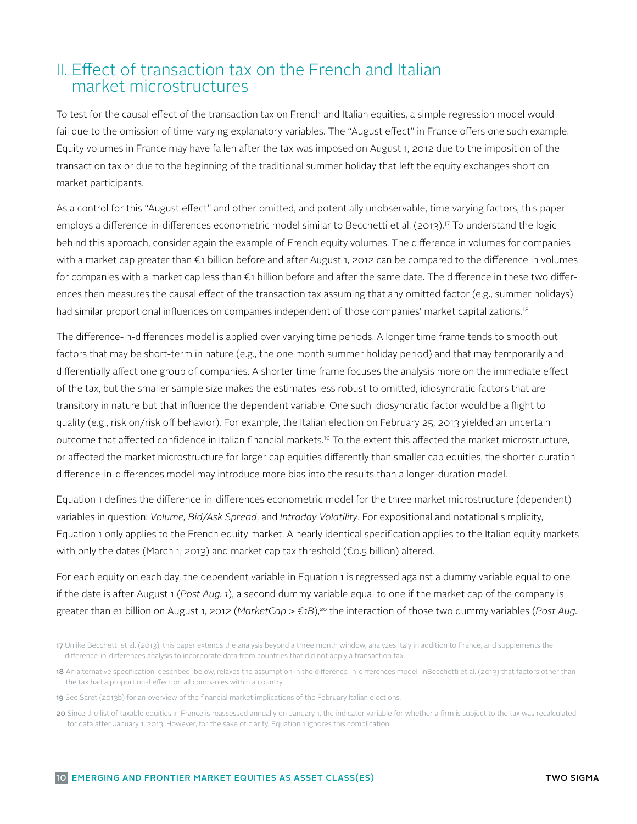## II. Effect of transaction tax on the French and Italian market microstructures

To test for the causal effect of the transaction tax on French and Italian equities, a simple regression model would fail due to the omission of time-varying explanatory variables. The "August effect" in France offers one such example. Equity volumes in France may have fallen after the tax was imposed on August 1, 2012 due to the imposition of the transaction tax or due to the beginning of the traditional summer holiday that left the equity exchanges short on market participants.

As a control for this "August effect" and other omitted, and potentially unobservable, time varying factors, this paper employs a difference-in-differences econometric model similar to Becchetti et al. (2013).<sup>17</sup> To understand the logic behind this approach, consider again the example of French equity volumes. The difference in volumes for companies with a market cap greater than €1 billion before and after August 1, 2012 can be compared to the difference in volumes for companies with a market cap less than €1 billion before and after the same date. The difference in these two differences then measures the causal effect of the transaction tax assuming that any omitted factor (e.g., summer holidays) had similar proportional influences on companies independent of those companies' market capitalizations. 18

The difference-in-differences model is applied over varying time periods. A longer time frame tends to smooth out factors that may be short-term in nature (e.g., the one month summer holiday period) and that may temporarily and differentially affect one group of companies. A shorter time frame focuses the analysis more on the immediate effect of the tax, but the smaller sample size makes the estimates less robust to omitted, idiosyncratic factors that are transitory in nature but that influence the dependent variable. One such idiosyncratic factor would be a flight to quality (e.g., risk on/risk off behavior). For example, the Italian election on February 25, 2013 yielded an uncertain outcome that affected confidence in Italian financial markets.19 To the extent this affected the market microstructure, or affected the market microstructure for larger cap equities differently than smaller cap equities, the shorter-duration difference-in-differences model may introduce more bias into the results than a longer-duration model.

Equation 1 defines the difference-in-differences econometric model for the three market microstructure (dependent) variables in question: *Volume, Bid/Ask Spread*, and *Intraday Volatility*. For expositional and notational simplicity, Equation 1 only applies to the French equity market. A nearly identical specification applies to the Italian equity markets with only the dates (March 1, 2013) and market cap tax threshold ( $\epsilon$ 0.5 billion) altered.

For each equity on each day, the dependent variable in Equation 1 is regressed against a dummy variable equal to one if the date is after August 1 (*Post Aug. 1*), a second dummy variable equal to one if the market cap of the company is greater than e1 billion on August 1, 2012 (*MarketCap ≥ €1B*),20 the interaction of those two dummy variables (*Post Aug.* 

- 19 See Saret (2013b) for an overview of the financial market implications of the February Italian elections.
- 20 Since the list of taxable equities in France is reassessed annually on January 1, the indicator variable for whether a firm is subject to the tax was recalculated for data after January 1, 2013. However, for the sake of clarity, Equation 1 ignores this complication.

<sup>17</sup> Unlike Becchetti et al. (2013), this paper extends the analysis beyond a three month window, analyzes Italy in addition to France, and supplements the difference-in-differences analysis to incorporate data from countries that did not apply a transaction tax.

<sup>18</sup> An alternative specification, described below, relaxes the assumption in the difference-in-differences model inBecchetti et al. (2013) that factors other than the tax had a proportional effect on all companies within a country.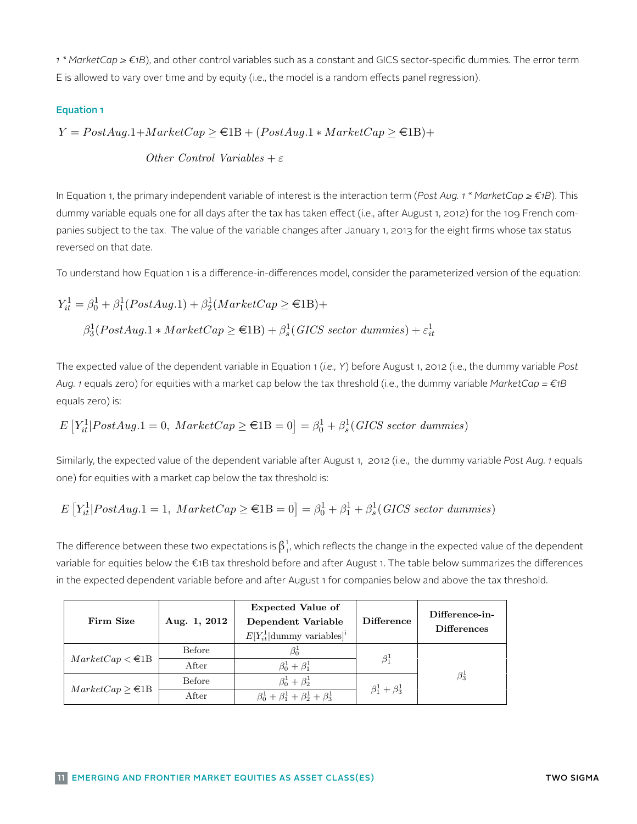*1 \* MarketCap ≥ €1B*), and other control variables such as a constant and GICS sector-specific dummies. The error term E is allowed to vary over time and by equity (i.e., the model is a random effects panel regression). other control variables such a constant and GICS sector-specific dummines. The executive specific dummines such<br>The sullowed to vary over time and by equity (i.e., the model is a random effects panel regression).

### Equation 1

 $Y = PostAug.1 + MarketCap \geq \text{ } \in \text{1B} + (PostAug.1 * MarketCap \geq \text{ } \in \text{1B}) +$ 

Other Control Variables  $+\varepsilon$ Other Control variables  $+ \varepsilon$ 

In Equation 1, the primary independent variable of interest is the interaction term (Post Aug. In Equation 1, the primary independent variable of interest is the interaction term (*Post Aug. 1 \* MarketCap ≥ €1B*). This panies subject to the tax. The value of the variable changes after January 1, 2013 for the eight firms whose tax status reversed on that date.<br>The value of the tax. The value of the tax. The value of the parameterized on that date. dummy variable equals one for all days after the tax has taken effect (i.e., after August 1, 2012) for the 109 French com-The expected value of the dependent variable in Equation 1 (i.e., Y ) before August 1, 2012 (i.e.,

To understand how Equation 1 is a difference-in-differences model, consider the parameterized version of the equation:

$$
Y_{it}^{1} = \beta_0^{1} + \beta_1^{1}(PostAug.1) + \beta_2^{1}(MarketCap \ge \text{\textsterling}1B) +
$$
  

$$
\beta_3^{1}(PostAug.1 * MarketCap \ge \text{\textsterling}1B) + \beta_s^{1}(GICS\ sector\ dummies) + \varepsilon_{it}^{1}
$$

The expected value of the dependent variable in Equation 1 (i.e., Y) before August 1, 2012 (i.e., the dummy variable Post Aug. 1 equals zero) for equities with a market cap below the tax threshold (i.e., the dummy variable MarketCap =  $\epsilon$ 1B equals zero) is:  $i$  or  $P$  ostate  $P$  ostate  $P$  energy energy energy energy  $\mathbb{R}$  energy  $\mathbb{R}$  energy  $\mathbb{R}$  energy  $\mathbb{R}$  energy  $\mathbb{R}$  energy  $\mathbb{R}$  energy  $\mathbb{R}$  energy  $\mathbb{R}$  energy  $\mathbb{R}$  energy  $\mathbb{R}$  energy

$$
E\left[Y_{it}^1|PostAug.1=0, \ MarketCap \ge \text{\textsterling}1B=0\right] = \beta_0^1 + \beta_s^1(GICS \ sector \ dummies)
$$

Similarly, the expected value of the dependent variable after August 1, 2012 (i.e., the dummy variable Post Aug. 1 equals one) for equities with a market cap below the tax threshold is:<br>The difference one of the change in the expectations is a local change in the expectation of the expectations i

$$
E\left[Y_{it}^1|PostAug.1=1, \ MarketCap \ge \text{\textsterling}1B=0\right] = \beta_0^1 + \beta_1^1 + \beta_s^1(GICS \ sector \ dummies)
$$

ite<br>|P ostaat en B ostaat en B ook in the expected dependent variable before and after August 1 for companies below and above the tax threshold. The difference between these two expectations is  $\beta^1_{1'}$ , which reflects the change in the expected value of the dependent variable for equities below the €1B tax threshold before and after August 1. The table below summarizes the differences

| Firm Size                            | Aug. 1, 2012 | <b>Expected Value of</b><br>Dependent Variable<br>$E[Y_{it}^1 $ dummy variables] <sup>i</sup> | <b>Difference</b>       | Difference-in-<br><b>Differences</b> |
|--------------------------------------|--------------|-----------------------------------------------------------------------------------------------|-------------------------|--------------------------------------|
|                                      | Before       | $\beta_0^1$                                                                                   |                         |                                      |
| $MarketCap < \text{\textsterling}1B$ | After        | $\beta_0^1 + \beta_1^1$                                                                       | $\beta_1^1$             |                                      |
|                                      | Before       | $\beta_0^1 + \beta_2^1$                                                                       |                         | $\beta_3^1$                          |
| $MarketCap > \in B$                  | After        | $\beta_0^1 + \beta_1^1 + \beta_2^1 + \beta_3^1$                                               | $\beta_1^1 + \beta_3^1$ |                                      |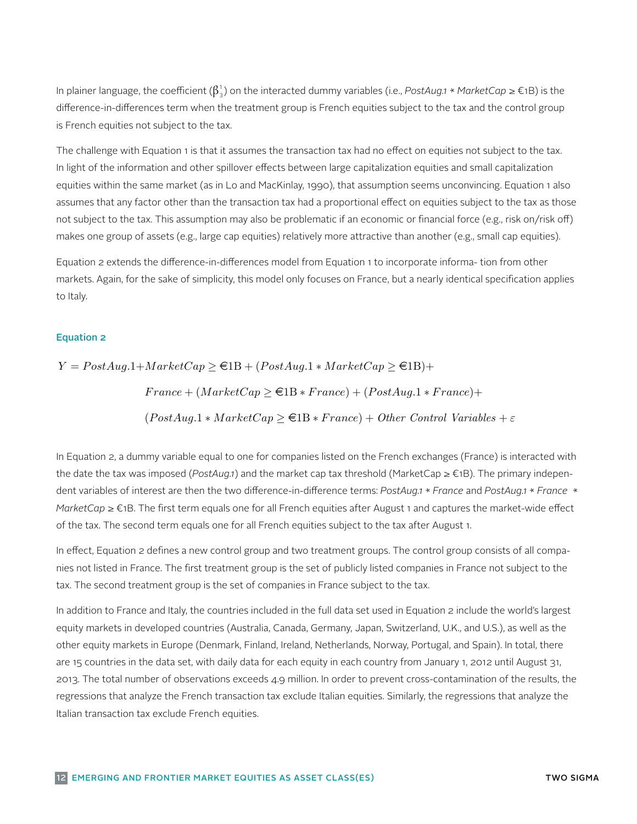In plainer language, the coefficient ( $\beta_3^1$ ) on the interacted dummy variables (i.e., *PostAug.1* \* *MarketCap* ≥ €1B) is the difference-in-differences term when the treatment group is French equities subject to the tax and the control group is French equities not subject to the tax.

The challenge with Equation 1 is that it assumes the transaction tax had no effect on equities not subject to the tax. In light of the information and other spillover effects between large capitalization equities and small capitalization equities within the same market (as in Lo and MacKinlay, 1990), that assumption seems unconvincing. Equation 1 also assumes that any factor other than the transaction tax had a proportional effect on equities subject to the tax as those not subject to the tax. This assumption may also be problematic if an economic or financial force (e.g., risk on/risk off) makes one group of assets (e.g., large cap equities) relatively more attractive than another (e.g., small cap equities). (e.g., small cap equities). transaction tax had a proportional effect on except on except tax subject on equities substitution to the tax a

Equation 2 extends the difference-in-differences model from Equation 1 to incorporate informa- tion from other markets. Again, for the sake of simplicity, this model only focuses on France, but a nearly identical specification applies to Italy.  $\frac{d}{dt}$  to the same of simplicity, the same of simplicity, the same of simplicity,  $\frac{d}{dt}$ 

### Equation 2

 $Y = PostAug.1 + MarketCap \geq \text{ } \in \text{1B} + (PostAug.1 * MarketCap \geq \text{ } \in \text{1B}) +$  $France + (MarketCap > \in 1B * France) + (PostAug.1 * France) +$  $(PostAug.1 * MarketCap \geq \text{in } France) + Other Control Variables + \varepsilon$ 

In Equation 2, a dummy variable equal to one for companies listed on the French exchanges In Equation 2, a dummy variable equal to one for companies listed on the French exchanges (France) is interacted with (F rance) is interacted with the date tax was imposed to tax was imposed (P ostated tax was interacted to market cap tax was imposed (P ostated tax was interacted to the market cap tax was interacted to the market cap tax *MarketCap* ≥ €1B. The first term equals one for all French equities after August 1 and captures the market-wide effect of the tax. The second term equals one for all French equities subject to the tax after August 1. the date the tax was imposed (*PostAug.1*) and the market cap tax threshold (MarketCap ≥ €1B). The primary independent variables of interest are then the two difference-in-difference terms: *PostAug.1* \* *France* and *PostAug.1* \* *France* \*

In effect, Equation 2 defines a new control group and two treatment groups. The control group consists of all companies not listed in France. The first treatment group is the set of publicly listed companies in France not subject to the tax. The second treatment group is the set of companies in France subject to the tax.

In addition to France and Italy, the countries included in the full data set used in Equation 2 include the world's largest equity markets in developed countries (Australia, Canada, Germany, Japan, Switzerland, U.K., and U.S.), as well as the are 15 countries in the data set, with daily data for each equity in each country from January 1, 2012 until August 31, 2013. The total number of observations exceeds 4.9 million. In order to prevent cross-contamination of the results, the Italian transaction tax exclude French equities. In Equation of Equation in Equation of the full data set used other equity markets in Europe (Denmark, Finland, Ireland, Netherlands, Norway, Portugal, and Spain). In total, there regressions that analyze the French transaction tax exclude Italian equities. Similarly, the regressions that analyze the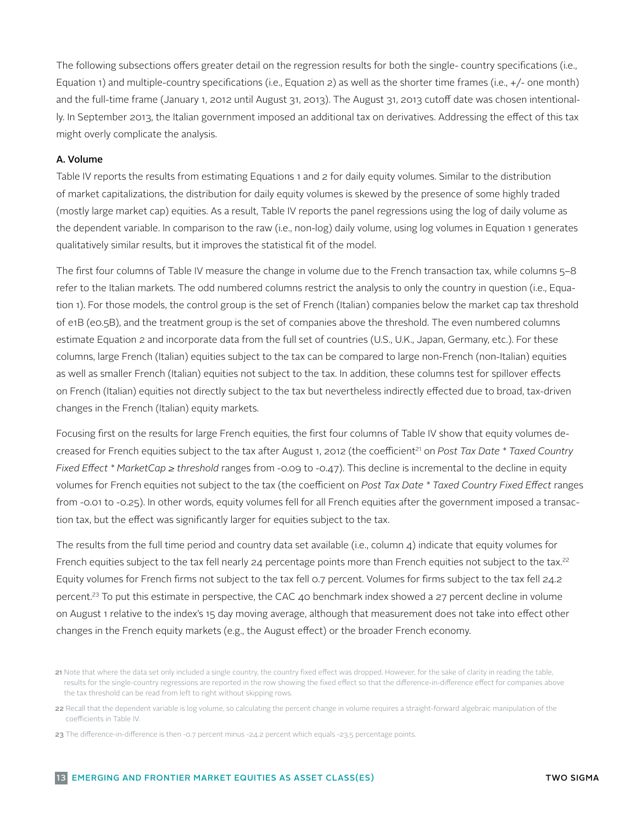The following subsections offers greater detail on the regression results for both the single- country specifications (i.e., Equation 1) and multiple-country specifications (i.e., Equation 2) as well as the shorter time frames (i.e., +/- one month) and the full-time frame (January 1, 2012 until August 31, 2013). The August 31, 2013 cutoff date was chosen intentionally. In September 2013, the Italian government imposed an additional tax on derivatives. Addressing the effect of this tax might overly complicate the analysis.

### A. Volume

Table IV reports the results from estimating Equations 1 and 2 for daily equity volumes. Similar to the distribution of market capitalizations, the distribution for daily equity volumes is skewed by the presence of some highly traded (mostly large market cap) equities. As a result, Table IV reports the panel regressions using the log of daily volume as the dependent variable. In comparison to the raw (i.e., non-log) daily volume, using log volumes in Equation 1 generates qualitatively similar results, but it improves the statistical fit of the model.

The first four columns of Table IV measure the change in volume due to the French transaction tax, while columns 5–8 refer to the Italian markets. The odd numbered columns restrict the analysis to only the country in question (i.e., Equation 1). For those models, the control group is the set of French (Italian) companies below the market cap tax threshold of e1B (e0.5B), and the treatment group is the set of companies above the threshold. The even numbered columns estimate Equation 2 and incorporate data from the full set of countries (U.S., U.K., Japan, Germany, etc.). For these columns, large French (Italian) equities subject to the tax can be compared to large non-French (non-Italian) equities as well as smaller French (Italian) equities not subject to the tax. In addition, these columns test for spillover effects on French (Italian) equities not directly subject to the tax but nevertheless indirectly effected due to broad, tax-driven changes in the French (Italian) equity markets.

Focusing first on the results for large French equities, the first four columns of Table IV show that equity volumes decreased for French equities subject to the tax after August 1, 2012 (the coefficient<sup>21</sup> on *Post Tax Date \* Taxed Country Fixed Effect \* MarketCap ≥ threshold* ranges from -0.09 to -0.47). This decline is incremental to the decline in equity volumes for French equities not subject to the tax (the coefficient on *Post Tax Date \* Taxed Country Fixed Effect* ranges from -0.01 to -0.25). In other words, equity volumes fell for all French equities after the government imposed a transaction tax, but the effect was significantly larger for equities subject to the tax.

The results from the full time period and country data set available (i.e., column  $\Delta$ ) indicate that equity volumes for French equities subject to the tax fell nearly 24 percentage points more than French equities not subject to the tax.<sup>22</sup> Equity volumes for French firms not subject to the tax fell 0.7 percent. Volumes for firms subject to the tax fell 24.2 percent.23 To put this estimate in perspective, the CAC 40 benchmark index showed a 27 percent decline in volume on August 1 relative to the index's 15 day moving average, although that measurement does not take into effect other changes in the French equity markets (e.g., the August effect) or the broader French economy.

<sup>21</sup> Note that where the data set only included a single country, the country fixed effect was dropped. However, for the sake of clarity in reading the table, results for the single-country regressions are reported in the row showing the fixed effect so that the difference-in-difference effect for companies above the tax threshold can be read from left to right without skipping rows.

<sup>22</sup> Recall that the dependent variable is log volume, so calculating the percent change in volume requires a straight-forward algebraic manipulation of the coefficients in Table IV.

<sup>23</sup> The difference-in-difference is then -0.7 percent minus -24.2 percent which equals -23.5 percentage points.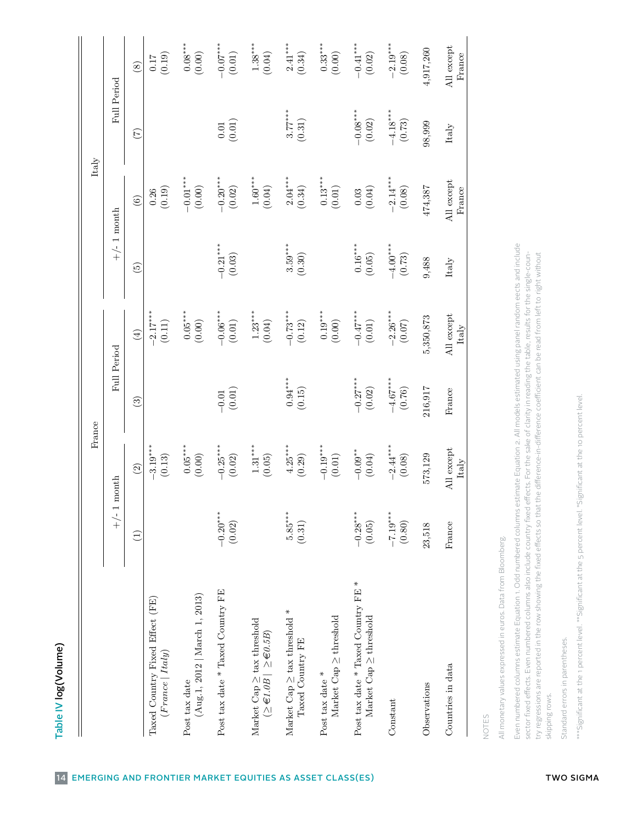| J                                                                                                                     |
|-----------------------------------------------------------------------------------------------------------------------|
|                                                                                                                       |
|                                                                                                                       |
|                                                                                                                       |
|                                                                                                                       |
|                                                                                                                       |
|                                                                                                                       |
| <b>Contract Contract Contract Contract Contract Contract Contract Contract Contract Contract Contract Contract Co</b> |
|                                                                                                                       |
|                                                                                                                       |
|                                                                                                                       |
|                                                                                                                       |

| Full Period<br>$-4.18***$<br>$3.77***$<br>$-0.08***$<br>(0.31)<br>(0.02)<br>(0.01)<br>(0.73)<br>98,999<br>$0.01\,$<br>Italy<br>$(\overline{z})$<br>$-2.14***$<br>$-0.01***$<br>$2.04***$<br>$0.13^{***}\,$<br>$-0.20***$<br>$1.60^{***}\,$<br>All except<br>(0.00)<br>(0.02)<br>(0.04)<br>(0.01)<br>(0.19)<br>(0.34)<br>(0.04)<br>(0.08)<br>474,387<br>France<br>0.26<br>$0.03\,$<br>$\widehat{6}$<br>$+/- 1$ month<br>$-0.21***$<br>$3.59***$<br>$-4.00***$<br>$0.16^{***}$<br>(0.03)<br>(0.30)<br>(0.05)<br>(0.73)<br>9,488<br>Italy<br>$\widetilde{5}$<br>$-2.17***$<br>$0.05***$<br>$-2.26***$<br>$1.23***$<br>$-0.73***$<br>$-0.06***$<br>$0.19***$<br>$-0.47***$<br>All except<br>5,350,873<br>(0.00)<br>(0.11)<br>(0.00)<br>(0.01)<br>(0.04)<br>(0.01)<br>(0.12)<br>(0.07)<br>Italy<br>$\left(\frac{1}{2}\right)$<br>Full Period<br>$0.94***$<br>$-4.67***$<br>$-0.27***$<br>216,917<br>(0.02)<br>(0.01)<br>(0.15)<br>(0.76)<br>France<br>$-0.01$<br>$\binom{3}{2}$<br>$-3.19***$<br>$1.31^{***}$<br>$4.25***$<br>$-2.44***$<br>$0.05***$<br>$-0.25***$<br>$-0.19***$<br>All except<br>$-0.09**$<br>(0.00)<br>(0.05)<br>(0.29)<br>$(0.01)$<br>(0.04)<br>(0.08)<br>573,129<br>(0.13)<br>(0.02)<br>Italy<br>$\widehat{c}$<br>month<br>$+/-1$<br>$5.85***$<br>$-7.19***$<br>$-0.20***$<br>$-0.28***$<br>(0.31)<br>(0.02)<br>(0.05)<br>(0.80)<br>France<br>23,518<br>E<br>Post tax date * Taxed Country FE *<br>Post tax date * Taxed Country FE<br>(Aug.1, 2012   <i>March 1</i> , 2013)<br>Taxed Country Fixed Effect (FE)<br>Market Cap $\geq$ tax threshold *<br>Market Cap $\geq$ threshold<br>Market $Cap \geq$ threshold<br>Market Cap $\geq$ tax threshold<br>$(\geq \in 1.0B \mid \geq \in 0.5B)$<br>Taxed Country FE<br>(France   Italy)<br>Countries in data<br>Post tax date $*$<br>Post tax date<br>Observations<br>Constant |                                |  |                      |
|----------------------------------------------------------------------------------------------------------------------------------------------------------------------------------------------------------------------------------------------------------------------------------------------------------------------------------------------------------------------------------------------------------------------------------------------------------------------------------------------------------------------------------------------------------------------------------------------------------------------------------------------------------------------------------------------------------------------------------------------------------------------------------------------------------------------------------------------------------------------------------------------------------------------------------------------------------------------------------------------------------------------------------------------------------------------------------------------------------------------------------------------------------------------------------------------------------------------------------------------------------------------------------------------------------------------------------------------------------------------------------------------------------------------------------------------------------------------------------------------------------------------------------------------------------------------------------------------------------------------------------------------------------------------------------------------------------------------------------------------------------------------------------------------------------------------------------------------|--------------------------------|--|----------------------|
|                                                                                                                                                                                                                                                                                                                                                                                                                                                                                                                                                                                                                                                                                                                                                                                                                                                                                                                                                                                                                                                                                                                                                                                                                                                                                                                                                                                                                                                                                                                                                                                                                                                                                                                                                                                                                                              |                                |  |                      |
|                                                                                                                                                                                                                                                                                                                                                                                                                                                                                                                                                                                                                                                                                                                                                                                                                                                                                                                                                                                                                                                                                                                                                                                                                                                                                                                                                                                                                                                                                                                                                                                                                                                                                                                                                                                                                                              |                                |  | $\circled{s}$        |
|                                                                                                                                                                                                                                                                                                                                                                                                                                                                                                                                                                                                                                                                                                                                                                                                                                                                                                                                                                                                                                                                                                                                                                                                                                                                                                                                                                                                                                                                                                                                                                                                                                                                                                                                                                                                                                              |                                |  | (0.19)<br>$0.17$     |
|                                                                                                                                                                                                                                                                                                                                                                                                                                                                                                                                                                                                                                                                                                                                                                                                                                                                                                                                                                                                                                                                                                                                                                                                                                                                                                                                                                                                                                                                                                                                                                                                                                                                                                                                                                                                                                              |                                |  | $0.08***$<br>(0.00)  |
|                                                                                                                                                                                                                                                                                                                                                                                                                                                                                                                                                                                                                                                                                                                                                                                                                                                                                                                                                                                                                                                                                                                                                                                                                                                                                                                                                                                                                                                                                                                                                                                                                                                                                                                                                                                                                                              |                                |  | $-0.07***$<br>(0.01) |
|                                                                                                                                                                                                                                                                                                                                                                                                                                                                                                                                                                                                                                                                                                                                                                                                                                                                                                                                                                                                                                                                                                                                                                                                                                                                                                                                                                                                                                                                                                                                                                                                                                                                                                                                                                                                                                              |                                |  | $1.38***$<br>(0.04)  |
|                                                                                                                                                                                                                                                                                                                                                                                                                                                                                                                                                                                                                                                                                                                                                                                                                                                                                                                                                                                                                                                                                                                                                                                                                                                                                                                                                                                                                                                                                                                                                                                                                                                                                                                                                                                                                                              |                                |  | $2.41***$<br>(0.34)  |
|                                                                                                                                                                                                                                                                                                                                                                                                                                                                                                                                                                                                                                                                                                                                                                                                                                                                                                                                                                                                                                                                                                                                                                                                                                                                                                                                                                                                                                                                                                                                                                                                                                                                                                                                                                                                                                              |                                |  | $0.33***$<br>(0.00)  |
|                                                                                                                                                                                                                                                                                                                                                                                                                                                                                                                                                                                                                                                                                                                                                                                                                                                                                                                                                                                                                                                                                                                                                                                                                                                                                                                                                                                                                                                                                                                                                                                                                                                                                                                                                                                                                                              |                                |  | $-0.41***$<br>(0.02) |
|                                                                                                                                                                                                                                                                                                                                                                                                                                                                                                                                                                                                                                                                                                                                                                                                                                                                                                                                                                                                                                                                                                                                                                                                                                                                                                                                                                                                                                                                                                                                                                                                                                                                                                                                                                                                                                              |                                |  | $-2.19***$<br>(0.08) |
|                                                                                                                                                                                                                                                                                                                                                                                                                                                                                                                                                                                                                                                                                                                                                                                                                                                                                                                                                                                                                                                                                                                                                                                                                                                                                                                                                                                                                                                                                                                                                                                                                                                                                                                                                                                                                                              |                                |  | 4,917,260            |
|                                                                                                                                                                                                                                                                                                                                                                                                                                                                                                                                                                                                                                                                                                                                                                                                                                                                                                                                                                                                                                                                                                                                                                                                                                                                                                                                                                                                                                                                                                                                                                                                                                                                                                                                                                                                                                              |                                |  | All except<br>France |
|                                                                                                                                                                                                                                                                                                                                                                                                                                                                                                                                                                                                                                                                                                                                                                                                                                                                                                                                                                                                                                                                                                                                                                                                                                                                                                                                                                                                                                                                                                                                                                                                                                                                                                                                                                                                                                              |                                |  |                      |
| Even numbered columns estimate Equation 1. Odd numbered columns estimate Equation 2. All models estimated using panel random eects and include<br>sector fixed effects. Even numbered columns also include country fixed effects. For the sake of clarity in reading the table, results for the single-coun-<br>try regressions are reported in the row showing the fixed effects so that the difference-in-difference coefficient can be read from left to right without<br>All monetary values expressed in euros. Data from Bloomberg.<br>skipping rows.                                                                                                                                                                                                                                                                                                                                                                                                                                                                                                                                                                                                                                                                                                                                                                                                                                                                                                                                                                                                                                                                                                                                                                                                                                                                                  | Standard errors in parentheses |  |                      |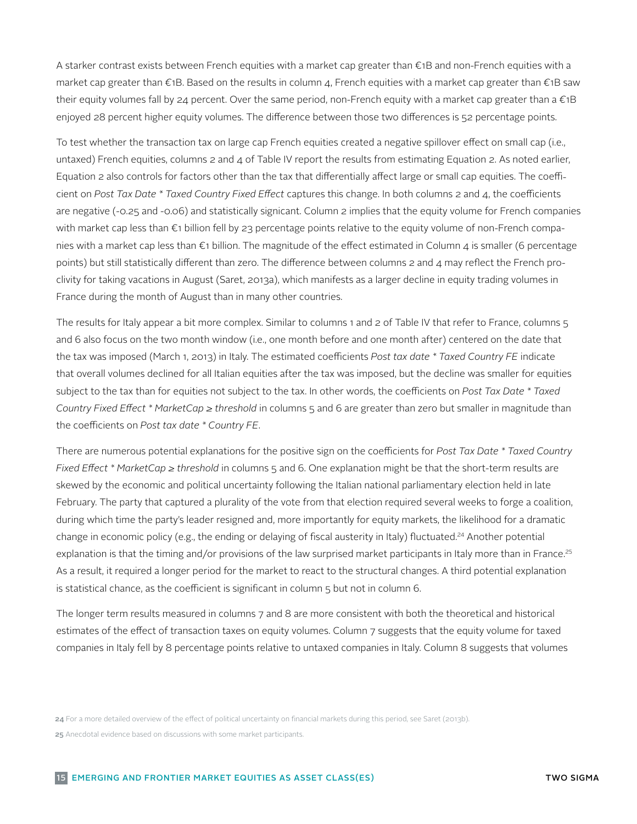A starker contrast exists between French equities with a market cap greater than €1B and non-French equities with a market cap greater than *€*1B. Based on the results in column 4, French equities with a market cap greater than *€*1B saw their equity volumes fall by 24 percent. Over the same period, non-French equity with a market cap greater than a *€*1B enjoyed 28 percent higher equity volumes. The difference between those two differences is 52 percentage points.

To test whether the transaction tax on large cap French equities created a negative spillover effect on small cap (i.e., untaxed) French equities, columns  $2$  and  $4$  of Table IV report the results from estimating Equation  $2$ . As noted earlier, Equation 2 also controls for factors other than the tax that differentially affect large or small cap equities. The coefficient on *Post Tax Date \* Taxed Country Fixed Effect* captures this change. In both columns 2 and 4, the coefficients are negative (-0.25 and -0.06) and statistically signicant. Column 2 implies that the equity volume for French companies with market cap less than €1 billion fell by 23 percentage points relative to the equity volume of non-French companies with a market cap less than  $\epsilon_1$  billion. The magnitude of the effect estimated in Column 4 is smaller (6 percentage points) but still statistically different than zero. The difference between columns 2 and 4 may reflect the French proclivity for taking vacations in August (Saret, 2013a), which manifests as a larger decline in equity trading volumes in France during the month of August than in many other countries.

The results for Italy appear a bit more complex. Similar to columns 1 and 2 of Table IV that refer to France, columns 5 and 6 also focus on the two month window (i.e., one month before and one month after) centered on the date that the tax was imposed (March 1, 2013) in Italy. The estimated coefficients *Post tax date \* Taxed Country FE* indicate that overall volumes declined for all Italian equities after the tax was imposed, but the decline was smaller for equities subject to the tax than for equities not subject to the tax. In other words, the coefficients on *Post Tax Date \* Taxed Country Fixed Effect \* MarketCap ≥ threshold* in columns 5 and 6 are greater than zero but smaller in magnitude than the coefficients on *Post tax date \* Country FE*.

There are numerous potential explanations for the positive sign on the coefficients for *Post Tax Date \* Taxed Country Fixed Effect \* MarketCap ≥ threshold* in columns 5 and 6. One explanation might be that the short-term results are skewed by the economic and political uncertainty following the Italian national parliamentary election held in late February. The party that captured a plurality of the vote from that election required several weeks to forge a coalition, during which time the party's leader resigned and, more importantly for equity markets, the likelihood for a dramatic change in economic policy (e.g., the ending or delaying of fiscal austerity in Italy) fluctuated.24 Another potential explanation is that the timing and/or provisions of the law surprised market participants in Italy more than in France.<sup>25</sup> As a result, it required a longer period for the market to react to the structural changes. A third potential explanation is statistical chance, as the coefficient is significant in column 5 but not in column 6.

The longer term results measured in columns 7 and 8 are more consistent with both the theoretical and historical estimates of the effect of transaction taxes on equity volumes. Column 7 suggests that the equity volume for taxed companies in Italy fell by 8 percentage points relative to untaxed companies in Italy. Column 8 suggests that volumes

24 For a more detailed overview of the effect of political uncertainty on financial markets during this period, see Saret (2013b).

25 Anecdotal evidence based on discussions with some market participants.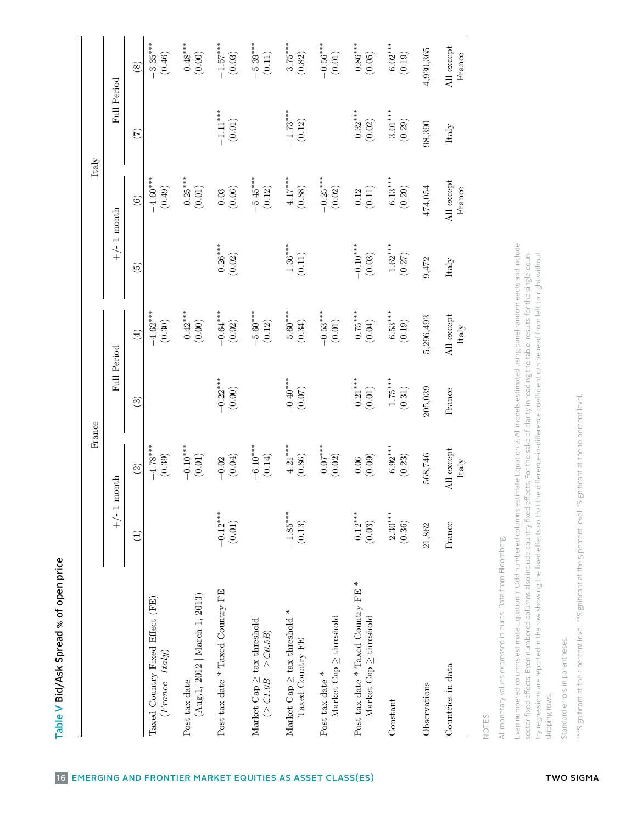| Full Period<br>$3.01***$<br>$-1.11***$<br>$-1.73***$<br>$0.32***$<br>(0.01)<br>(0.12)<br>(0.02)<br>(0.29)<br>98,390<br>Italy<br>$(\overline{z})$<br>$0.25***$<br>$4.17***$<br>$6.13***$<br>$-4.60***$<br>$-5.45***$<br>$-0.25***$<br>All except<br>474,054<br>France<br>(0.49)<br>(0.02)<br>(0.01)<br>(0.06)<br>(0.12)<br>(0.88)<br>(0.20)<br>(0.11)<br>$\,0.03$<br>0.12<br>$\widehat{c}$<br>$+/-1$ month<br>Even numbered columns estimate Equation 1. Odd numbered columns estimate Equation 2. All models estimated using panel random eects and include<br>$0.26^{\ast\ast\ast}$<br>$-1.36***$<br>$1.62***$<br>$-0.10***$<br>sector fixed effects. Even numbered columns also include country fixed effects. For the sake of clarity in reading the table, results for the single-coun-<br>the difference-in-difference coefficient can be read from left to right without<br>(0.03)<br>(0.02)<br>(0.11)<br>(0.27)<br>9,472<br>Italy<br>$\widetilde{5}$<br>$-4.62***$<br>$0.42***$<br>$5.60***$<br>$0.75***$<br>$6.53***$<br>$-0.64***$<br>$-5.60***$<br>$-0.53***$<br>All except<br>5,296,493<br>(0.04)<br>(0.30)<br>(0.00)<br>(0.12)<br>(0.34)<br>(0.01)<br>(0.19)<br>(0.02)<br>Italy<br>$\left( \frac{4}{2} \right)$<br>Full Period<br>$1.75***$<br>$-0.22***$<br>$-0.40***$<br>$0.21***$<br>(0.01)<br>205,039<br>(0.00)<br>(0.31)<br>(0.07)<br>France<br>$\widehat{\mathbb{G}}$<br>$6.92***$<br>$-4.78***$<br>$-0.10***$<br>$4.21***$<br>$0.07***$<br>$-6.10***$<br>All except<br>(0.14)<br>568,746<br>(0.01)<br>(0.86)<br>(0.02)<br>(0.39)<br>(0.04)<br>(0.09)<br>(0.23)<br>0.06<br>$-0.02$<br>Italy<br>$\widehat{c}$<br>month<br>try regressions are reported in the row showing the fixed effects so that<br>$+/-1$<br>$-1.85***$<br>$0.12***$<br>$2.30***$<br>$-0.12***$<br>(0.01)<br>(0.03)<br>(0.13)<br>(0.36)<br>France<br>21,862<br>$\widehat{\Xi}$<br>All monetary values expressed in euros. Data from Bloomberg.<br>$\ast$<br>Post tax date * Taxed Country FE<br>Post tax date * Taxed Country FE<br>(Aug.1, 2012   <i>March 1</i> , 2013)<br>Taxed Country Fixed Effect (FE)<br>$\ast$<br>Market Cap $\geq$ threshold<br>Market Cap $\geq$ tax threshold<br>$\label{eq:markot} \ensuremath{\mathsf{Market}}\xspace$ Cap $\geq$ threshold<br>Market Cap $\geq$ tax threshold<br>$(\geq \in 1.0B \mid \geq \in 0.5B)$<br>Taxed Country FE<br>(France   Italy)<br>Countries in data<br>Post tax date $*$<br>Post tax date<br>Observations<br>skipping rows.<br>Constant<br>NOTES |                                 | France |  | Italy |                          |
|----------------------------------------------------------------------------------------------------------------------------------------------------------------------------------------------------------------------------------------------------------------------------------------------------------------------------------------------------------------------------------------------------------------------------------------------------------------------------------------------------------------------------------------------------------------------------------------------------------------------------------------------------------------------------------------------------------------------------------------------------------------------------------------------------------------------------------------------------------------------------------------------------------------------------------------------------------------------------------------------------------------------------------------------------------------------------------------------------------------------------------------------------------------------------------------------------------------------------------------------------------------------------------------------------------------------------------------------------------------------------------------------------------------------------------------------------------------------------------------------------------------------------------------------------------------------------------------------------------------------------------------------------------------------------------------------------------------------------------------------------------------------------------------------------------------------------------------------------------------------------------------------------------------------------------------------------------------------------------------------------------------------------------------------------------------------------------------------------------------------------------------------------------------------------------------------------------------------------------------------------------------------------------------------------------------------------------------------------------------------------------------------------------------------------------------------------------------------------------------------------|---------------------------------|--------|--|-------|--------------------------|
|                                                                                                                                                                                                                                                                                                                                                                                                                                                                                                                                                                                                                                                                                                                                                                                                                                                                                                                                                                                                                                                                                                                                                                                                                                                                                                                                                                                                                                                                                                                                                                                                                                                                                                                                                                                                                                                                                                                                                                                                                                                                                                                                                                                                                                                                                                                                                                                                                                                                                                    |                                 |        |  |       |                          |
|                                                                                                                                                                                                                                                                                                                                                                                                                                                                                                                                                                                                                                                                                                                                                                                                                                                                                                                                                                                                                                                                                                                                                                                                                                                                                                                                                                                                                                                                                                                                                                                                                                                                                                                                                                                                                                                                                                                                                                                                                                                                                                                                                                                                                                                                                                                                                                                                                                                                                                    |                                 |        |  |       | $\circled{s}$            |
|                                                                                                                                                                                                                                                                                                                                                                                                                                                                                                                                                                                                                                                                                                                                                                                                                                                                                                                                                                                                                                                                                                                                                                                                                                                                                                                                                                                                                                                                                                                                                                                                                                                                                                                                                                                                                                                                                                                                                                                                                                                                                                                                                                                                                                                                                                                                                                                                                                                                                                    |                                 |        |  |       | $-3.35***$<br>(0.46)     |
|                                                                                                                                                                                                                                                                                                                                                                                                                                                                                                                                                                                                                                                                                                                                                                                                                                                                                                                                                                                                                                                                                                                                                                                                                                                                                                                                                                                                                                                                                                                                                                                                                                                                                                                                                                                                                                                                                                                                                                                                                                                                                                                                                                                                                                                                                                                                                                                                                                                                                                    |                                 |        |  |       | $0.48^{***}$<br>(0.00)   |
|                                                                                                                                                                                                                                                                                                                                                                                                                                                                                                                                                                                                                                                                                                                                                                                                                                                                                                                                                                                                                                                                                                                                                                                                                                                                                                                                                                                                                                                                                                                                                                                                                                                                                                                                                                                                                                                                                                                                                                                                                                                                                                                                                                                                                                                                                                                                                                                                                                                                                                    |                                 |        |  |       | $-1.57***$<br>(0.03)     |
|                                                                                                                                                                                                                                                                                                                                                                                                                                                                                                                                                                                                                                                                                                                                                                                                                                                                                                                                                                                                                                                                                                                                                                                                                                                                                                                                                                                                                                                                                                                                                                                                                                                                                                                                                                                                                                                                                                                                                                                                                                                                                                                                                                                                                                                                                                                                                                                                                                                                                                    |                                 |        |  |       | $-5.39***$<br>(0.11)     |
|                                                                                                                                                                                                                                                                                                                                                                                                                                                                                                                                                                                                                                                                                                                                                                                                                                                                                                                                                                                                                                                                                                                                                                                                                                                                                                                                                                                                                                                                                                                                                                                                                                                                                                                                                                                                                                                                                                                                                                                                                                                                                                                                                                                                                                                                                                                                                                                                                                                                                                    |                                 |        |  |       | $3.75***$<br>(0.82)      |
|                                                                                                                                                                                                                                                                                                                                                                                                                                                                                                                                                                                                                                                                                                                                                                                                                                                                                                                                                                                                                                                                                                                                                                                                                                                                                                                                                                                                                                                                                                                                                                                                                                                                                                                                                                                                                                                                                                                                                                                                                                                                                                                                                                                                                                                                                                                                                                                                                                                                                                    |                                 |        |  |       | $-0.56***$<br>(0.01)     |
|                                                                                                                                                                                                                                                                                                                                                                                                                                                                                                                                                                                                                                                                                                                                                                                                                                                                                                                                                                                                                                                                                                                                                                                                                                                                                                                                                                                                                                                                                                                                                                                                                                                                                                                                                                                                                                                                                                                                                                                                                                                                                                                                                                                                                                                                                                                                                                                                                                                                                                    |                                 |        |  |       | $0.86^{***}$<br>$(0.05)$ |
|                                                                                                                                                                                                                                                                                                                                                                                                                                                                                                                                                                                                                                                                                                                                                                                                                                                                                                                                                                                                                                                                                                                                                                                                                                                                                                                                                                                                                                                                                                                                                                                                                                                                                                                                                                                                                                                                                                                                                                                                                                                                                                                                                                                                                                                                                                                                                                                                                                                                                                    |                                 |        |  |       | $6.02***$<br>(0.19)      |
|                                                                                                                                                                                                                                                                                                                                                                                                                                                                                                                                                                                                                                                                                                                                                                                                                                                                                                                                                                                                                                                                                                                                                                                                                                                                                                                                                                                                                                                                                                                                                                                                                                                                                                                                                                                                                                                                                                                                                                                                                                                                                                                                                                                                                                                                                                                                                                                                                                                                                                    |                                 |        |  |       | 4,930,365                |
|                                                                                                                                                                                                                                                                                                                                                                                                                                                                                                                                                                                                                                                                                                                                                                                                                                                                                                                                                                                                                                                                                                                                                                                                                                                                                                                                                                                                                                                                                                                                                                                                                                                                                                                                                                                                                                                                                                                                                                                                                                                                                                                                                                                                                                                                                                                                                                                                                                                                                                    |                                 |        |  |       | All except<br>France     |
|                                                                                                                                                                                                                                                                                                                                                                                                                                                                                                                                                                                                                                                                                                                                                                                                                                                                                                                                                                                                                                                                                                                                                                                                                                                                                                                                                                                                                                                                                                                                                                                                                                                                                                                                                                                                                                                                                                                                                                                                                                                                                                                                                                                                                                                                                                                                                                                                                                                                                                    |                                 |        |  |       |                          |
|                                                                                                                                                                                                                                                                                                                                                                                                                                                                                                                                                                                                                                                                                                                                                                                                                                                                                                                                                                                                                                                                                                                                                                                                                                                                                                                                                                                                                                                                                                                                                                                                                                                                                                                                                                                                                                                                                                                                                                                                                                                                                                                                                                                                                                                                                                                                                                                                                                                                                                    |                                 |        |  |       |                          |
|                                                                                                                                                                                                                                                                                                                                                                                                                                                                                                                                                                                                                                                                                                                                                                                                                                                                                                                                                                                                                                                                                                                                                                                                                                                                                                                                                                                                                                                                                                                                                                                                                                                                                                                                                                                                                                                                                                                                                                                                                                                                                                                                                                                                                                                                                                                                                                                                                                                                                                    | Standard errors in parentheses. |        |  |       |                          |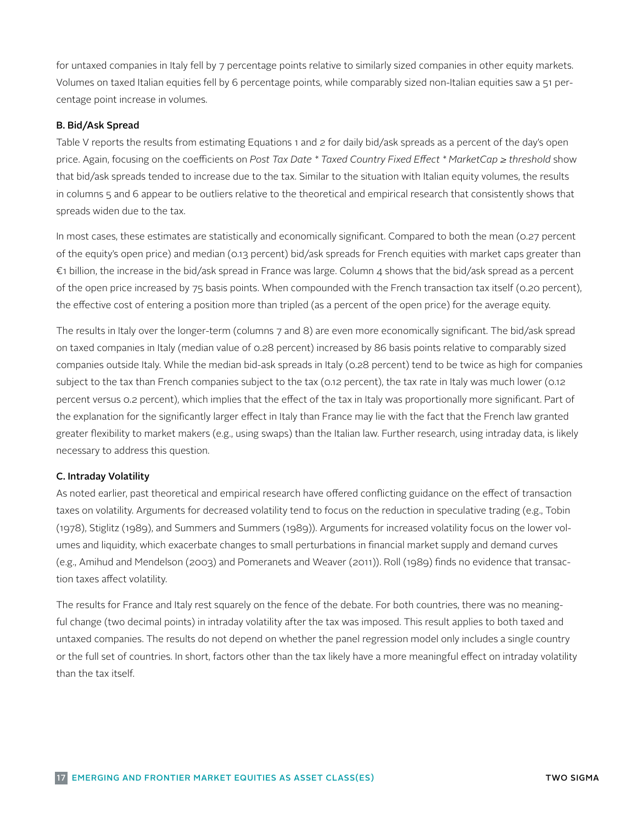for untaxed companies in Italy fell by 7 percentage points relative to similarly sized companies in other equity markets. Volumes on taxed Italian equities fell by 6 percentage points, while comparably sized non-Italian equities saw a 51 percentage point increase in volumes.

### B. Bid/Ask Spread

Table V reports the results from estimating Equations 1 and 2 for daily bid/ask spreads as a percent of the day's open price. Again, focusing on the coefficients on *Post Tax Date \* Taxed Country Fixed Effect \* MarketCap ≥ threshold* show that bid/ask spreads tended to increase due to the tax. Similar to the situation with Italian equity volumes, the results in columns 5 and 6 appear to be outliers relative to the theoretical and empirical research that consistently shows that spreads widen due to the tax.

In most cases, these estimates are statistically and economically significant. Compared to both the mean (0.27 percent of the equity's open price) and median (0.13 percent) bid/ask spreads for French equities with market caps greater than €1 billion, the increase in the bid/ask spread in France was large. Column 4 shows that the bid/ask spread as a percent of the open price increased by 75 basis points. When compounded with the French transaction tax itself (0.20 percent), the effective cost of entering a position more than tripled (as a percent of the open price) for the average equity.

The results in Italy over the longer-term (columns 7 and 8) are even more economically significant. The bid/ask spread on taxed companies in Italy (median value of 0.28 percent) increased by 86 basis points relative to comparably sized companies outside Italy. While the median bid-ask spreads in Italy (0.28 percent) tend to be twice as high for companies subject to the tax than French companies subject to the tax (0.12 percent), the tax rate in Italy was much lower (0.12 percent versus 0.2 percent), which implies that the effect of the tax in Italy was proportionally more significant. Part of the explanation for the significantly larger effect in Italy than France may lie with the fact that the French law granted greater flexibility to market makers (e.g., using swaps) than the Italian law. Further research, using intraday data, is likely necessary to address this question.

### C. Intraday Volatility

As noted earlier, past theoretical and empirical research have offered conflicting guidance on the effect of transaction taxes on volatility. Arguments for decreased volatility tend to focus on the reduction in speculative trading (e.g., Tobin (1978), Stiglitz (1989), and Summers and Summers (1989)). Arguments for increased volatility focus on the lower volumes and liquidity, which exacerbate changes to small perturbations in financial market supply and demand curves (e.g., Amihud and Mendelson (2003) and Pomeranets and Weaver (2011)). Roll (1989) finds no evidence that transaction taxes affect volatility.

The results for France and Italy rest squarely on the fence of the debate. For both countries, there was no meaningful change (two decimal points) in intraday volatility after the tax was imposed. This result applies to both taxed and untaxed companies. The results do not depend on whether the panel regression model only includes a single country or the full set of countries. In short, factors other than the tax likely have a more meaningful effect on intraday volatility than the tax itself.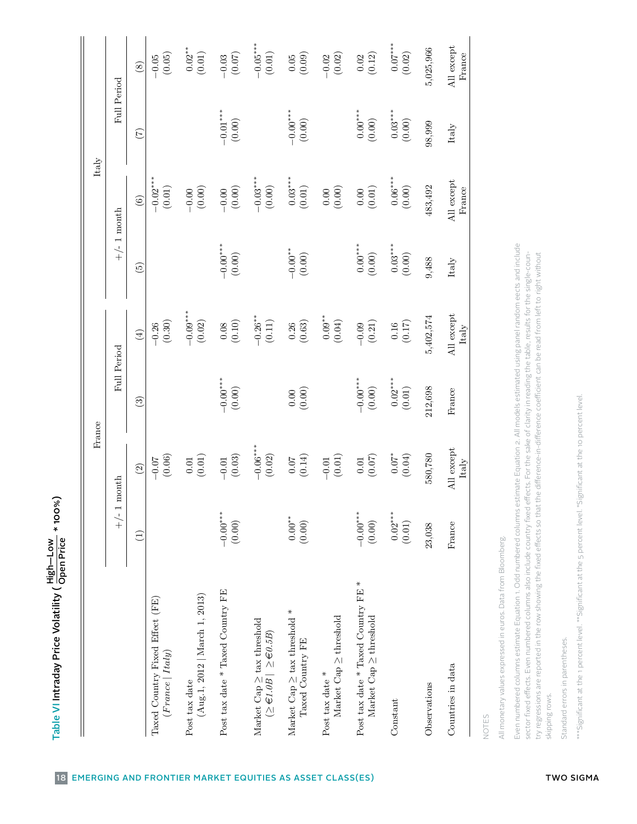|                                                                                                                                                                                                                                                                                                                                                                                                               |                                           | France               |                       |                                                                                 |                     | $\ensuremath{\text{Italy}}$ |                         |                      |
|---------------------------------------------------------------------------------------------------------------------------------------------------------------------------------------------------------------------------------------------------------------------------------------------------------------------------------------------------------------------------------------------------------------|-------------------------------------------|----------------------|-----------------------|---------------------------------------------------------------------------------|---------------------|-----------------------------|-------------------------|----------------------|
|                                                                                                                                                                                                                                                                                                                                                                                                               | $\overline{\phantom{0}}$<br>$\frac{1}{+}$ | $\bf{month}$         | Full Period           |                                                                                 | $+/- 1$ month       |                             | Full Period             |                      |
|                                                                                                                                                                                                                                                                                                                                                                                                               | $\overline{1}$                            | $\boxed{2}$          | $\binom{3}{2}$        | $\left( 4\right)$                                                               | $\widetilde{5}$     | $\odot$                     | (7)                     |                      |
| Taxed Country Fixed Effect (FE)<br>(France   Italy)                                                                                                                                                                                                                                                                                                                                                           |                                           | (0.06)<br>$-0.07$    |                       | (0.30)<br>$-0.26$                                                               |                     | $-0.02***$<br>(0.01)        |                         |                      |
| (Aug.1, 2012   <i>March 1</i> , 2013)<br>Post tax date                                                                                                                                                                                                                                                                                                                                                        |                                           | $(0.01)$<br>$0.01\,$ |                       | $-0.09***$<br>(0.02)                                                            |                     | (0.00)<br>$-0.00$           |                         |                      |
| Post tax date * Taxed Country FE                                                                                                                                                                                                                                                                                                                                                                              | $-0.00$ ***<br>(0.00)                     | (0.03)<br>$-0.01$    | $-0.00***$<br>(0.00)  | (0.10)<br>0.08                                                                  | $-0.00**$<br>(0.00) | $(0.00)$<br>$-0.00$         | $-0.01***$<br>(0.00)    |                      |
| Market Cap $\geq$ tax threshold<br>( $\geq \in 1.0B$ ) $\geq \in 0.5B$ )                                                                                                                                                                                                                                                                                                                                      |                                           | $-0.06***$<br>(0.02) |                       | $-0.26**$<br>(0.11)                                                             |                     | $-0.03***$<br>(0.00)        |                         |                      |
| $\ast$<br>Market Cap $\geq$ tax threshold<br>Taxed Country FE                                                                                                                                                                                                                                                                                                                                                 | $0.00^{**}$<br>(0.00)                     | (0.14)<br>$0.07\,$   | (0.00)<br>$0.00\,$    | (0.63)<br>0.26                                                                  | $-0.00**$<br>(0.00) | $0.03***$<br>(0.01)         | $-0.00^{***}$<br>(0.00) |                      |
| Market Cap $\geq$ threshold<br>Post tax date $*$                                                                                                                                                                                                                                                                                                                                                              |                                           | (0.01)<br>$-0.01$    |                       | $0.09***$<br>(0.04)                                                             |                     | (0.00)<br>$0.00\,$          |                         |                      |
| $\ast$<br>Post tax date * Taxed Country FE<br>Market $\text{Cap} \geq \text{threshold}$                                                                                                                                                                                                                                                                                                                       | $-0.00$ ***<br>(0.00)                     | (0.07)<br>$0.01\,$   | $-0.00***$<br>(0.00)  | (0.21)<br>$-0.09$                                                               | $0.00***$<br>(0.00) | (0.01)<br>$0.00\,$          | $0.00***$<br>(0.00)     |                      |
| Constant                                                                                                                                                                                                                                                                                                                                                                                                      | $0.02***$<br>$(0.01)$                     | $0.07*$<br>(0.04)    | $0.02***$<br>$(0.01)$ | (0.17)<br>0.16                                                                  | $0.03***$<br>(0.00) | $0.06***$<br>(0.00)         | $0.03***$<br>(0.00)     |                      |
| Observations                                                                                                                                                                                                                                                                                                                                                                                                  | 23,038                                    | 580,780              | 212,698               | 5,402,574                                                                       | 9,488               | 483,492                     | 98,999                  | 5,025,966            |
| Countries in data                                                                                                                                                                                                                                                                                                                                                                                             | France                                    | All except<br>Italy  | France                | All except<br>Italy                                                             | Italy               | All except<br>France        | Italy                   | All except<br>France |
| All monetary values expressed in euros. Data from Bloomberg.<br>NOTES                                                                                                                                                                                                                                                                                                                                         |                                           |                      |                       |                                                                                 |                     |                             |                         |                      |
| Even numbered columns estimate Equation 1. Odd numbered columns estimate Equation 2. All models estimated using panel random eects and include<br>sector fixed effects. Even numbered columns also include country fixed effects. For the sake of clarity in reading the table, results for the single-coun-<br>try regressions are reported in the row showing the fixed effects so that t<br>skipping rows. |                                           |                      |                       | the difference-in-difference coefficient can be read from left to right without |                     |                             |                         |                      |
| Standard errors in parentheses                                                                                                                                                                                                                                                                                                                                                                                |                                           |                      |                       |                                                                                 |                     |                             |                         |                      |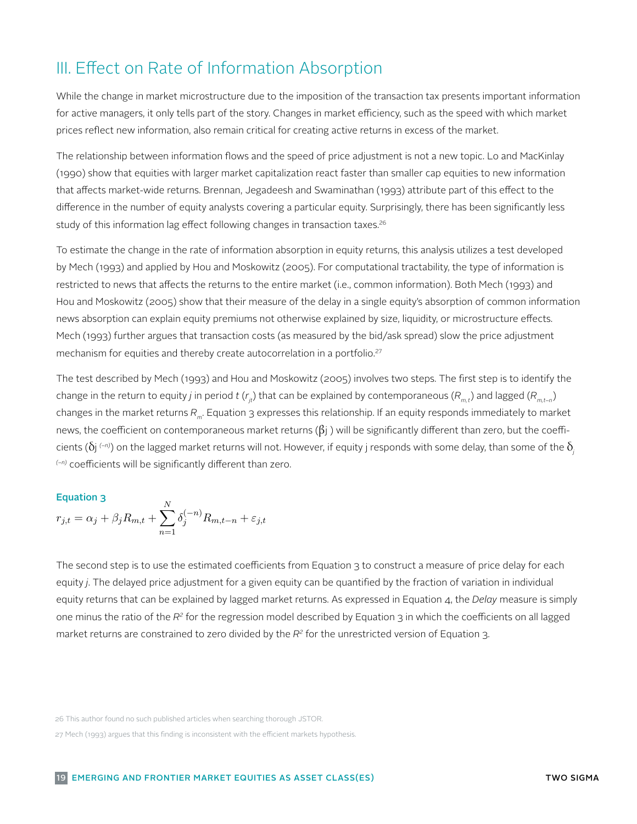# III. Effect on Rate of Information Absorption

While the change in market microstructure due to the imposition of the transaction tax presents important information for active managers, it only tells part of the story. Changes in market efficiency, such as the speed with which market prices reflect new information, also remain critical for creating active returns in excess of the market.

The relationship between information flows and the speed of price adjustment is not a new topic. Lo and MacKinlay (1990) show that equities with larger market capitalization react faster than smaller cap equities to new information that affects market-wide returns. Brennan, Jegadeesh and Swaminathan (1993) attribute part of this effect to the difference in the number of equity analysts covering a particular equity. Surprisingly, there has been significantly less study of this information lag effect following changes in transaction taxes.<sup>26</sup>

To estimate the change in the rate of information absorption in equity returns, this analysis utilizes a test developed by Mech (1993) and applied by Hou and Moskowitz (2005). For computational tractability, the type of information is restricted to news that affects the returns to the entire market (i.e., common information). Both Mech (1993) and Hou and Moskowitz (2005) show that their measure of the delay in a single equity's absorption of common information news absorption can explain equity premiums not otherwise explained by size, liquidity, or microstructure effects. Mech (1993) further argues that transaction costs (as measured by the bid/ask spread) slow the price adjustment mechanism for equities and thereby create autocorrelation in a portfolio.<sup>27</sup>

The test described by Mech (1993) and Hou and Moskowitz (2005) involves two steps. The first step is to identify the change in the return to equity *j* in period *t* ( $r_{it}$ ) that can be explained by contemporaneous ( $R_{mt}$ ) and lagged ( $R_{mt-n}$ ) changes in the market returns  $R_m$ . Equation 3 expresses this relationship. If an equity responds immediately to market news, the coefficient on contemporaneous market returns  $(βj)$  will be significantly different than zero, but the coefficients (δj *(−n)*) on the lagged market returns will not. However, if equity j responds with some delay, than some of the δ*<sup>j</sup> (−n)* coefficients will be significantly different than zero.

### Equation 3

$$
r_{j,t} = \alpha_j + \beta_j R_{m,t} + \sum_{n=1}^{N} \delta_j^{(-n)} R_{m,t-n} + \varepsilon_{j,t}
$$

The second step is to use the estimated coefficients from Equation 3 to construct a measure of The second step is to use the estimated coefficients from Equation 3 to construct a measure of price delay for each equity *j*. The delayed price adjustment for a given equity can be quantified by the fraction of variation in individual equity returns that can be explained by lagged market returns. As expressed in Equation 4, the *Delay* measure is simply market returns are constrained to zero divided by the *R<sup>2</sup>* for the unrestricted version of Equation 3. one minus the ratio of the *R2* for the regression model described by Equation 3 in which the coefficients on all lagged

<sup>26</sup> This author found no such published articles when searching thorough JSTOR.<br>s= Mark (1000) serves that this fisclic is increasistant with the efficient readerts hypothesis.

<sup>27</sup> Mech (1993) argues that this finding is inconsistent with the efficient markets hypothesis.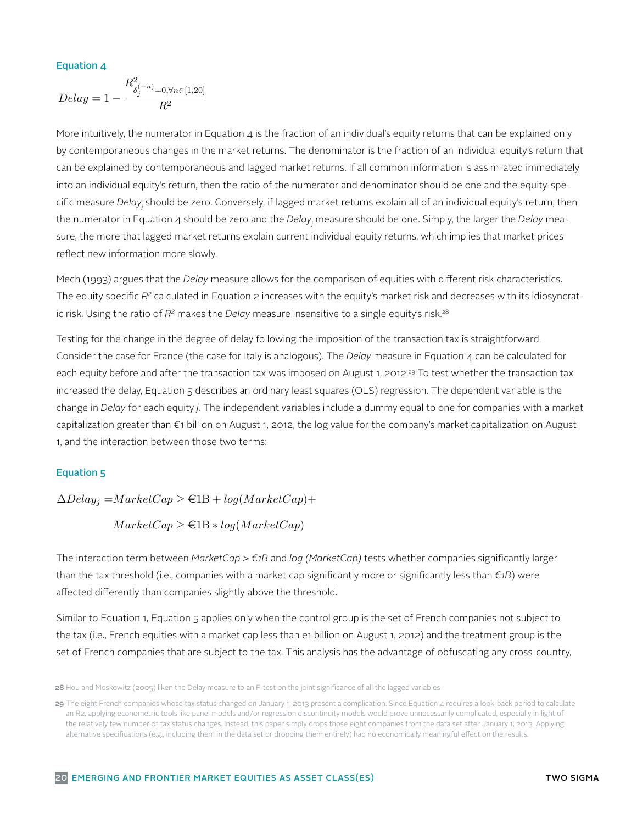### Equation 4

$$
Delay = 1 - \frac{R_{\delta_j^{(-n)} = 0, \forall n \in [1, 20]}}{R^2}
$$

More intuitively, the numerator in Equation 4 is the fraction of an individual's equity returns More intuitively, the numerator in Equation 4 is the fraction of an individual's equity returns that can be explained only can be explained by contemporaneous and lagged market returns. If all common information is assimilated immediately into an individual equity's return, then the ratio of the numerator and denominator should be one and the equity-specific measure *Delɑy<sub>j</sub>* should be zero. Conversely, if lagged market returns explain all of an individual equity's return, then sure, the more that lagged market returns explain current individual equity returns, which implies that market prices reflect new information more slowly. by contemporaneous changes in the market returns. The denominator is the fraction of an individual equity's return that the numerator in Equation 4 should be zero and the *Delay<sub>j</sub>* measure should be one. Simply, the larger the *Delay* mea-

Mech (1993) argues that the *Delay* measure allows for the comparison of equities with different risk characteristics. The equity specific  $R^z$  calculated in Equation 2 increases with the equity's market risk and decreases with its idiosyncratindividual equity returns, which implies that market prices reflect new information more slowly. ic risk. Using the ratio of *R2* makes the *Delay* measure insensitive to a single equity's risk.28

Consider the case for France (the case for Italy is analogous). The *Delay* measure in Equation 4 can be calculated for each equity before and after the transaction tax was imposed on August 1, 2012.<sup>29</sup> To test whether the transaction tax change in Delay for each equity j. The independent variables include a dummy equal to one for companies with a market capitalization greater than €1 billion on August 1, 2012, the log value for the company's market capitalization on August Testing for the change in the degree of delay following the imposition of the transaction tax is straightforward. increased the delay, Equation 5 describes an ordinary least squares (OLS) regression. The dependent variable is the n, and the interaction between those two terms:<br>and the interaction between those two terms:

### Equation 5

 $\Delta Delay_j = MarketCap \ge \text{\textsterling}1B + log(MarketCap) +$ 

 $MarketCap \geq \text{in } 1B * log(MarketCap)$ 

 $\overline{z}$ The interaction term between MarketCap ≥ e1B and log(MarketCap) tests whether companies than the tax threshold (i.e., companies with a market cap significantly more or significantly less than *€1B*) were affected differently than companies slightly above the threshold. The interaction term between *MarketCap ≥ €1B* and *log (MarketCap)* tests whether companies significantly larger

Similar to Equation 1, Equation 5 applies only when the control group is the set of French companies not subject to set of French companies that are subject to the tax. This analysis has the advantage of obfuscating any cross-country, the tax (i.e., French equities with a market cap less than e1 billion on August 1, 2012) and the treatment group is the

**<sup>28</sup>** Hou and Moskowitz (2005) liken the Delay measure to an F-test on the joint significance of all the lagged variables

all developed markets into one category and developing markets into another without distinguishing between markets such as South Korea, where the World **29** The eight French companies whose tax status changed on January 1, 2013 present a complication. Since Equation 4 requires a look-back period to calculate "developed," "emerging," and "frontier" markets. For expositional simplicity, this paper occasionally employs the term "developing" market as a superset that tax. This analysis has the advantage of obfuscating any cross-country, time-varying differences in an R2, applying econometric tools like panel models and/or regression discontinuity models would prove unnecessarily complicated, especially in light of the relatively few number of tax status changes. Instead, this paper simply drops those eight companies from the data set after January 1, 2013. Applying alternative specifications (e.g., including them in the data set or dropping them entirely) had no economically meaningful effect on the results.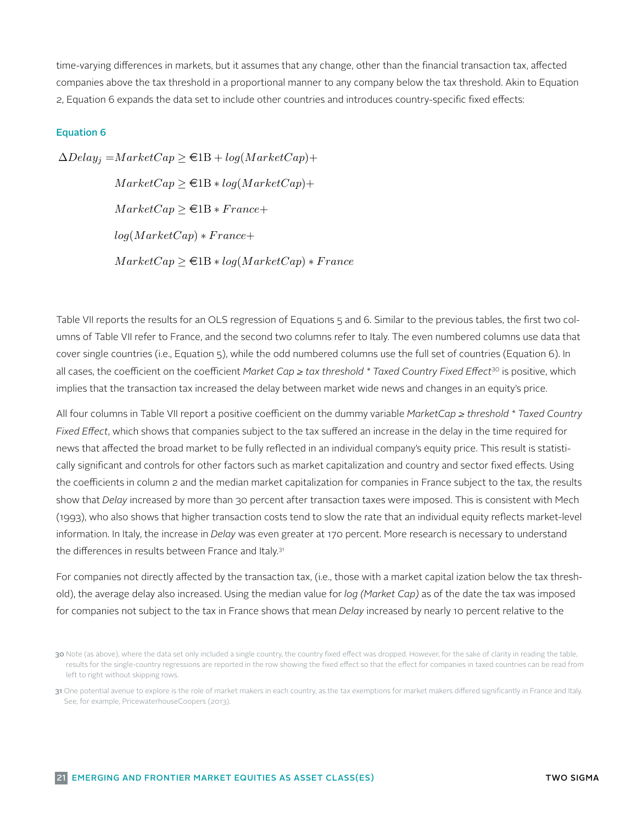time-varying differences in markets, but it assumes that any change, other than the financial transaction tax, affected companies above the tax threshold in a proportional manner to any company below the tax threshold. Akin to Equation 2, Equation 6 expands the data set to include other countries and introduces country-specific fixed effects:

### Equation 6

 $\Delta Delay_i = MarketCap \geq \text{\textsterling}1B + log(MarketCap) +$  $MarketCap \geq \text{\textsterling}1B * log(MarketCap) +$  $MarketCap \geq \text{\textsterling}1B * France +$  $log(MarketCap) * France+$  $MarketCap \geq \text{in } 1B * log(MarkerCap) * France$ 

Table VII reports the results for an OLS regression of Equations 5 and 6. Similar to the previous tables, the first two colcover single countries (i.e., Equation 5), while the odd numbered columns use the full set of countries (Equation 6). In all cases, the coefficient on the coefficient Market Cap  $\ge$  tax threshold  $^*$  Taxed Country Fixed Effect<sup>30</sup> is positive, which implies that the transaction tax increased the delay between market wide news and changes in an equity's price.<br>. umns of Table VII refer to France, and the second two columns refer to Italy. The even numbered columns use data that

All four columns in Table VII report a positive coefficient on the dummy variable *MarketCap ≥ threshold \* Taxed Country* All four coefficients in column 2 and the median market capitalization for companies in France subject to the tax, the results show that *Delay* increased by more than 30 percent after transaction taxes were imposed. This is consistent with Mech (1993), who also shows that higher transaction costs tend to slow the rate that an individual equity reflects market-level reflected in an individual company's equity price. This result is statistically significant and controls information. In Italy, the increase in *Delay* was even greater at 170 percent. More research is necessary to understand *Fixed Effect*, which shows that companies subject to the tax suffered an increase in the delay in the time required for news that affected the broad market to be fully reflected in an individual company's equity price. This result is statistically significant and controls for other factors such as market capitalization and country and sector fixed effects. Using the differences in results between France and Italy.<sup>31</sup>

old), the average delay also increased. Using the median value for *log (Market Cap)* as of the date the tax was imposed for companies not subject to the tax in France shows that mean *Delay* increased by nearly 10 percent relative to the For companies not directly affected by the transaction tax, (i.e., those with a market capital ization below the tax thresh-

**<sup>30</sup>** Note (as above), where the data set only included a single country, the country fixed effect was dropped. However, for the sake of clarity in reading the table, results for the single-country regressions are reported in the row showing the fixed effect so that the effect for companies in taxed countries can be read from left to right without skipping rows. iert to right without skipping rows.

<sup>31</sup> One potential avenue to explore is the role of market makers in each country, as the tax exemptions for market makers differed significantly in France and Italy. See, for example, PricewaterhouseCoopers (2013).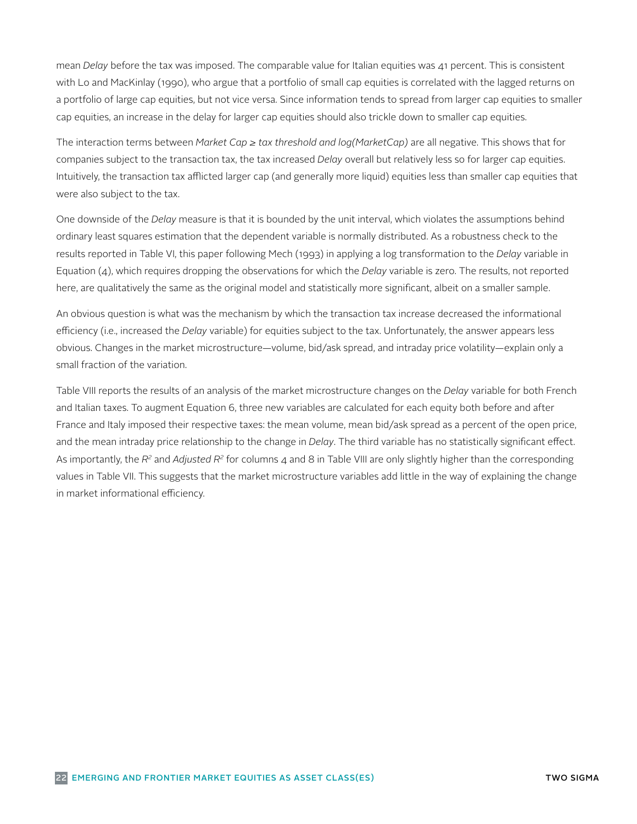mean *Delay* before the tax was imposed. The comparable value for Italian equities was 41 percent. This is consistent with Lo and MacKinlay (1990), who argue that a portfolio of small cap equities is correlated with the lagged returns on a portfolio of large cap equities, but not vice versa. Since information tends to spread from larger cap equities to smaller cap equities, an increase in the delay for larger cap equities should also trickle down to smaller cap equities.

The interaction terms between *Market Cap ≥ tax threshold and log(MarketCap)* are all negative. This shows that for companies subject to the transaction tax, the tax increased *Delay* overall but relatively less so for larger cap equities. Intuitively, the transaction tax afflicted larger cap (and generally more liquid) equities less than smaller cap equities that were also subject to the tax.

One downside of the *Delay* measure is that it is bounded by the unit interval, which violates the assumptions behind ordinary least squares estimation that the dependent variable is normally distributed. As a robustness check to the results reported in Table VI, this paper following Mech (1993) in applying a log transformation to the *Delay* variable in Equation (4), which requires dropping the observations for which the *Delay* variable is zero. The results, not reported here, are qualitatively the same as the original model and statistically more significant, albeit on a smaller sample.

An obvious question is what was the mechanism by which the transaction tax increase decreased the informational efficiency (i.e., increased the *Delay* variable) for equities subject to the tax. Unfortunately, the answer appears less obvious. Changes in the market microstructure—volume, bid/ask spread, and intraday price volatility—explain only a small fraction of the variation.

Table VIII reports the results of an analysis of the market microstructure changes on the *Delay* variable for both French and Italian taxes. To augment Equation 6, three new variables are calculated for each equity both before and after France and Italy imposed their respective taxes: the mean volume, mean bid/ask spread as a percent of the open price, and the mean intraday price relationship to the change in *Delay*. The third variable has no statistically significant effect. As importantly, the *R2* and *Adjusted R2* for columns 4 and 8 in Table VIII are only slightly higher than the corresponding values in Table VII. This suggests that the market microstructure variables add little in the way of explaining the change in market informational efficiency.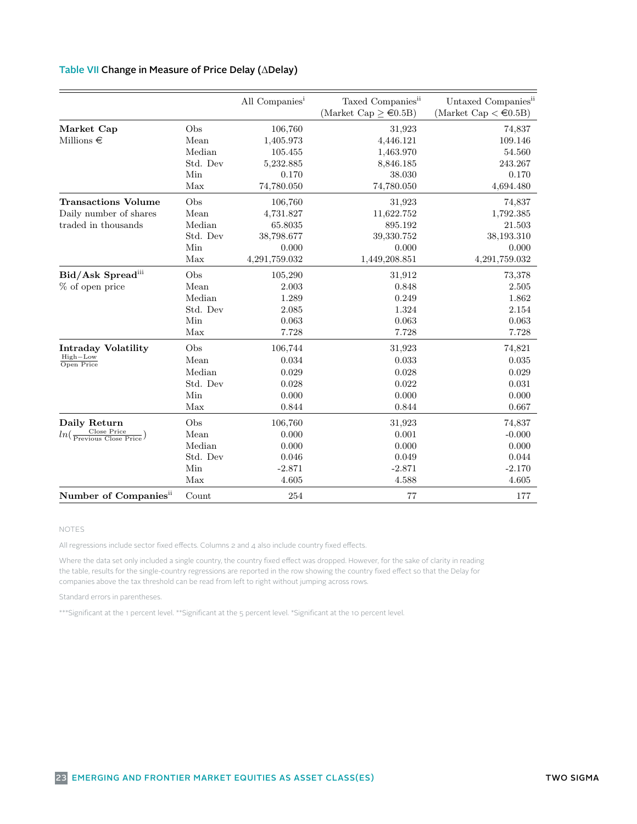### Table II: Summary Statistics – Italian Equities – Italian Equities – Italian Equities – Italian Equities – Italian Equities – Italian Equities – Italian Equities – Italian Equities – Italian Equities – Italian Equities – Table VII Change in Measure of Price Delay (ΔDelay)

|                                                                              |                                                 | All Companies <sup>i</sup>                                              | Taxed Companies <sup>ii</sup><br>(Market Cap $\geq \epsilon 0.5B$ )     | Untaxed Companies <sup>ii</sup><br>(Market Cap $\lt \in 0.5B$ )       |
|------------------------------------------------------------------------------|-------------------------------------------------|-------------------------------------------------------------------------|-------------------------------------------------------------------------|-----------------------------------------------------------------------|
| Market Cap<br>Millions $\in$                                                 | Obs<br>Mean<br>Median                           | 106,760<br>1,405.973<br>105.455                                         | 31,923<br>4,446.121                                                     | 74,837<br>109.146<br>54.560                                           |
|                                                                              | Std. Dev<br>Min<br>Max                          | 5,232.885<br>0.170<br>74,780.050                                        | 1,463.970<br>8,846.185<br>38.030<br>74,780.050                          | 243.267<br>0.170<br>4,694.480                                         |
| <b>Transactions Volume</b><br>Daily number of shares<br>traded in thousands  | Obs<br>Mean<br>Median<br>Std. Dev<br>Min<br>Max | 106,760<br>4,731.827<br>65.8035<br>38,798.677<br>0.000<br>4,291,759.032 | 31,923<br>11,622.752<br>895.192<br>39,330.752<br>0.000<br>1,449,208.851 | 74,837<br>1,792.385<br>21.503<br>38,193.310<br>0.000<br>4,291,759.032 |
| Bid/Ask Spreadiii<br>% of open price                                         | Obs<br>Mean<br>Median<br>Std. Dev<br>Min<br>Max | 105,290<br>2.003<br>1.289<br>2.085<br>0.063<br>7.728                    | 31,912<br>0.848<br>0.249<br>1.324<br>0.063<br>7.728                     | 73,378<br>2.505<br>1.862<br>2.154<br>0.063<br>7.728                   |
| <b>Intraday Volatility</b><br>High-Low<br>Open Price                         | Obs<br>Mean<br>Median<br>Std. Dev<br>Min<br>Max | 106,744<br>0.034<br>0.029<br>0.028<br>0.000<br>0.844                    | 31,923<br>0.033<br>0.028<br>0.022<br>0.000<br>0.844                     | 74,821<br>0.035<br>0.029<br>0.031<br>0.000<br>0.667                   |
| Daily Return<br>$ln(\frac{\text{Close Price}}{\text{Previous Close Price}})$ | Obs<br>Mean<br>Median<br>Std. Dev<br>Min<br>Max | 106,760<br>0.000<br>0.000<br>0.046<br>$-2.871$<br>4.605                 | 31,923<br>0.001<br>0.000<br>0.049<br>$-2.871$<br>4.588                  | 74,837<br>$-0.000$<br>0.000<br>0.044<br>$-2.170$<br>4.605             |
| Number of Companies <sup>ii</sup>                                            | Count                                           | 254                                                                     | 77                                                                      | 177                                                                   |

### <sup>i</sup> Data from Bloomberg covers all common stocks traded on the Borsa Italiana exchange (from January 1, 2012 NOTES

until August 31, 2013). All regressions include sector fixed effects. Columns 2 and 4 also include country fixed effects.

Where the data set only included a single country, the country fixed effect was dropped. However, for the sake of clarity in reading<br>the table, results for the single-country regressions are reported in the row showing the companies above the tax threshold can be read from left to right without jumping across rows. Where the data set only included a single country, the country fixed effect was dropped. However, for the sake of clarity in reading

Standard errors in parentheses.<br>Standard errors in parentheses.

 $\ast$  for the biask space of the bid-ask spread (e.g.  $\ast$  400 percent). As a result, the data is window to the section of the section of the  $\ast$ \*\*\*Significant at the 1 percent level. \*\*Significant at the 5 percent level. \*Significant at the 10 percent level.<br>-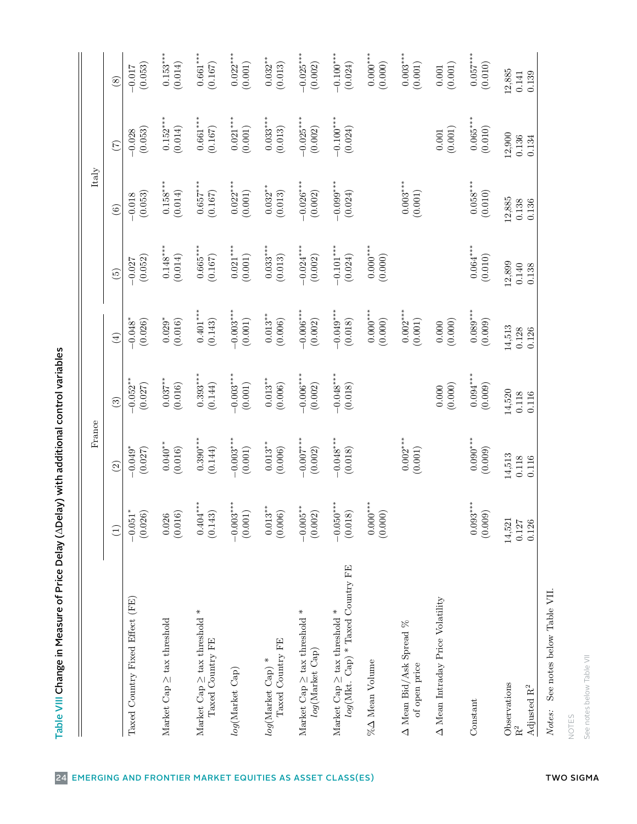| 23<br>3                         |
|---------------------------------|
|                                 |
|                                 |
|                                 |
|                                 |
|                                 |
|                                 |
| $\frac{1}{2}$                   |
|                                 |
| :<br>;<br>;                     |
|                                 |
|                                 |
|                                 |
| י<br>ו                          |
|                                 |
|                                 |
|                                 |
| ֚֚֚֬                            |
|                                 |
|                                 |
|                                 |
|                                 |
|                                 |
|                                 |
|                                 |
| S<br>)<br> }                    |
|                                 |
|                                 |
| inclonation in the first office |
| ٦                               |
|                                 |
|                                 |
|                                 |
|                                 |
| Price of Price                  |
|                                 |
|                                 |
|                                 |
| とこのこと<br>١                      |
|                                 |
|                                 |
|                                 |
|                                 |

| $\circled{s}$<br>$0.152***$<br>$0.661***$<br>$0.033***$<br>$-0.025***$<br>$-0.100***$<br>$0.021***$<br>$0.065***$<br>(0.001)<br>(0.002)<br>(0.024)<br>(0.167)<br>(0.013)<br>(0.001)<br>(0.010)<br>(0.014)<br>(0.053)<br>$-0.028$<br>$0.001\,$<br>12,900<br>0.136<br>0.134<br>(7)<br>$0.003***$<br>$0.058***$<br>$0.158***$<br>$0.657***$<br>$0.022***$<br>$-0.026***$<br>$-0.099***$<br>$0.032***$<br>(0.001)<br>(0.002)<br>(0.024)<br>(0.167)<br>(0.001)<br>(0.010)<br>(0.014)<br>(0.013)<br>(0.053)<br>$-0.018$<br>12,885<br>$0.138\,$<br>0.136<br>$\widehat{6}$<br>$0.021***$<br>$-0.024***$<br>$-0.101***$<br>$0.000***$<br>$0.064***$<br>$0.148***$<br>$0.665***$<br>$0.033***$<br>(0.024)<br>(0.000)<br>(0.010)<br>(0.014)<br>(0.001)<br>(0.013)<br>(0.002)<br>(0.167)<br>(0.052)<br>$-0.027$<br>12,899<br>$0.140\,$<br>0.138<br>$\widetilde{5}$<br>$0.002***$<br>$-0.006***$<br>$0.000***$<br>$0.089***$<br>$-0.003***$<br>$-0.049***$<br>$0.401***$<br>$0.013***$<br>$0.029*$<br>$-0.048*$<br>(0.143)<br>(0.001)<br>(0.006)<br>(0.002)<br>(0.018)<br>(0.000)<br>(0.001)<br>(0.016)<br>(0.000)<br>(0.009)<br>(0.026)<br>0.000<br>14,513<br>0.128<br>0.126<br>$\left( 4\right)$<br>$-0.006***$<br>$-0.048***$<br>$-0.003***$<br>$0.094***$<br>$0.393***$<br>$0.013***$<br>$-0.052**$<br>$0.037***$<br>(0.144)<br>(0.001)<br>(0.002)<br>(0.018)<br>(0.016)<br>(0.006)<br>(0.000)<br>(0.009)<br>(0.027)<br>0.000<br>14,520<br>$0.118\,$<br>0.116<br>$\left( 3\right)$<br>$0.002***$<br>$0.090***$<br>$-0.007$ ***<br>$-0.048***$<br>$-0.003***$<br>$0.390***$<br>$0.013***$<br>$0.040**$<br>(0.144)<br>$-0.049*$<br>(0.001)<br>(0.002)<br>(0.018)<br>(0.001)<br>(0.009)<br>(0.027)<br>(0.016)<br>(0.006)<br>14,513<br>0.118<br>0.116<br>$\odot$<br>$0.093***$<br>$**\n$<br>***<br>$0.000***$<br>$-0.050***$<br>$0.013^{\ast\ast}$<br>$-0.005**$<br>(0.143)<br>(0.018)<br>(0.006)<br>(0.002)<br>(0.000)<br>(0.009)<br>(0.026)<br>0.026<br>(0.016)<br>$0.404*$<br>$-0.003$<br>(0.001)<br>$-0.051$<br>14,521<br>0.127<br>0.126<br>$\left(1\right)$<br>$log(\mbox{Mkt. Cap})$ * Taxed Country FE<br>$\Delta$ Mean Intraday Price Volatility<br>Taxed Country Fixed Effect (FE)<br>$\ast$<br>Market Cap $\geq$ tax threshold *<br>Market Cap $\geq$ tax threshold *<br>Market Cap $\geq$ tax threshold<br>Market $Cap \geq$ tax threshold<br>$\Delta$ Mean Bid/Ask Spread %<br>Taxed Country FE<br>Taxed Country FE<br>log(Market Cap)<br>$log(\mbox{Market Cap})$ $\ast$<br>% $\Delta$ Mean Volume<br>of open price<br>log(Market Cap)<br>Observations<br>Adjusted $\mathbf{R}^2$<br>Constant<br>R <sup>2</sup> |                           | France |  | Italy |                          |
|-----------------------------------------------------------------------------------------------------------------------------------------------------------------------------------------------------------------------------------------------------------------------------------------------------------------------------------------------------------------------------------------------------------------------------------------------------------------------------------------------------------------------------------------------------------------------------------------------------------------------------------------------------------------------------------------------------------------------------------------------------------------------------------------------------------------------------------------------------------------------------------------------------------------------------------------------------------------------------------------------------------------------------------------------------------------------------------------------------------------------------------------------------------------------------------------------------------------------------------------------------------------------------------------------------------------------------------------------------------------------------------------------------------------------------------------------------------------------------------------------------------------------------------------------------------------------------------------------------------------------------------------------------------------------------------------------------------------------------------------------------------------------------------------------------------------------------------------------------------------------------------------------------------------------------------------------------------------------------------------------------------------------------------------------------------------------------------------------------------------------------------------------------------------------------------------------------------------------------------------------------------------------------------------------------------------------------------------------------------------------------------------------------------------------------------------------------------------------------------------------------------------------------------------------------------------------------------------------------------------|---------------------------|--------|--|-------|--------------------------|
|                                                                                                                                                                                                                                                                                                                                                                                                                                                                                                                                                                                                                                                                                                                                                                                                                                                                                                                                                                                                                                                                                                                                                                                                                                                                                                                                                                                                                                                                                                                                                                                                                                                                                                                                                                                                                                                                                                                                                                                                                                                                                                                                                                                                                                                                                                                                                                                                                                                                                                                                                                                                                 |                           |        |  |       |                          |
|                                                                                                                                                                                                                                                                                                                                                                                                                                                                                                                                                                                                                                                                                                                                                                                                                                                                                                                                                                                                                                                                                                                                                                                                                                                                                                                                                                                                                                                                                                                                                                                                                                                                                                                                                                                                                                                                                                                                                                                                                                                                                                                                                                                                                                                                                                                                                                                                                                                                                                                                                                                                                 |                           |        |  |       | (0.053)<br>0.017         |
|                                                                                                                                                                                                                                                                                                                                                                                                                                                                                                                                                                                                                                                                                                                                                                                                                                                                                                                                                                                                                                                                                                                                                                                                                                                                                                                                                                                                                                                                                                                                                                                                                                                                                                                                                                                                                                                                                                                                                                                                                                                                                                                                                                                                                                                                                                                                                                                                                                                                                                                                                                                                                 |                           |        |  |       | $0.153***$<br>(0.014)    |
|                                                                                                                                                                                                                                                                                                                                                                                                                                                                                                                                                                                                                                                                                                                                                                                                                                                                                                                                                                                                                                                                                                                                                                                                                                                                                                                                                                                                                                                                                                                                                                                                                                                                                                                                                                                                                                                                                                                                                                                                                                                                                                                                                                                                                                                                                                                                                                                                                                                                                                                                                                                                                 |                           |        |  |       | $0.661***$<br>(0.167)    |
|                                                                                                                                                                                                                                                                                                                                                                                                                                                                                                                                                                                                                                                                                                                                                                                                                                                                                                                                                                                                                                                                                                                                                                                                                                                                                                                                                                                                                                                                                                                                                                                                                                                                                                                                                                                                                                                                                                                                                                                                                                                                                                                                                                                                                                                                                                                                                                                                                                                                                                                                                                                                                 |                           |        |  |       | $0.022***$<br>(0.001)    |
|                                                                                                                                                                                                                                                                                                                                                                                                                                                                                                                                                                                                                                                                                                                                                                                                                                                                                                                                                                                                                                                                                                                                                                                                                                                                                                                                                                                                                                                                                                                                                                                                                                                                                                                                                                                                                                                                                                                                                                                                                                                                                                                                                                                                                                                                                                                                                                                                                                                                                                                                                                                                                 |                           |        |  |       | $0.032***$<br>(0.013)    |
|                                                                                                                                                                                                                                                                                                                                                                                                                                                                                                                                                                                                                                                                                                                                                                                                                                                                                                                                                                                                                                                                                                                                                                                                                                                                                                                                                                                                                                                                                                                                                                                                                                                                                                                                                                                                                                                                                                                                                                                                                                                                                                                                                                                                                                                                                                                                                                                                                                                                                                                                                                                                                 |                           |        |  |       | $-0.025***$<br>(0.002)   |
|                                                                                                                                                                                                                                                                                                                                                                                                                                                                                                                                                                                                                                                                                                                                                                                                                                                                                                                                                                                                                                                                                                                                                                                                                                                                                                                                                                                                                                                                                                                                                                                                                                                                                                                                                                                                                                                                                                                                                                                                                                                                                                                                                                                                                                                                                                                                                                                                                                                                                                                                                                                                                 |                           |        |  |       | $-0.100***$<br>(0.024)   |
|                                                                                                                                                                                                                                                                                                                                                                                                                                                                                                                                                                                                                                                                                                                                                                                                                                                                                                                                                                                                                                                                                                                                                                                                                                                                                                                                                                                                                                                                                                                                                                                                                                                                                                                                                                                                                                                                                                                                                                                                                                                                                                                                                                                                                                                                                                                                                                                                                                                                                                                                                                                                                 |                           |        |  |       | $0.000***$<br>(0.000)    |
|                                                                                                                                                                                                                                                                                                                                                                                                                                                                                                                                                                                                                                                                                                                                                                                                                                                                                                                                                                                                                                                                                                                                                                                                                                                                                                                                                                                                                                                                                                                                                                                                                                                                                                                                                                                                                                                                                                                                                                                                                                                                                                                                                                                                                                                                                                                                                                                                                                                                                                                                                                                                                 |                           |        |  |       | $0.003***$<br>(0.001)    |
|                                                                                                                                                                                                                                                                                                                                                                                                                                                                                                                                                                                                                                                                                                                                                                                                                                                                                                                                                                                                                                                                                                                                                                                                                                                                                                                                                                                                                                                                                                                                                                                                                                                                                                                                                                                                                                                                                                                                                                                                                                                                                                                                                                                                                                                                                                                                                                                                                                                                                                                                                                                                                 |                           |        |  |       | (0.001)<br>$0.001\,$     |
|                                                                                                                                                                                                                                                                                                                                                                                                                                                                                                                                                                                                                                                                                                                                                                                                                                                                                                                                                                                                                                                                                                                                                                                                                                                                                                                                                                                                                                                                                                                                                                                                                                                                                                                                                                                                                                                                                                                                                                                                                                                                                                                                                                                                                                                                                                                                                                                                                                                                                                                                                                                                                 |                           |        |  |       | $0.057***$<br>(0.010)    |
|                                                                                                                                                                                                                                                                                                                                                                                                                                                                                                                                                                                                                                                                                                                                                                                                                                                                                                                                                                                                                                                                                                                                                                                                                                                                                                                                                                                                                                                                                                                                                                                                                                                                                                                                                                                                                                                                                                                                                                                                                                                                                                                                                                                                                                                                                                                                                                                                                                                                                                                                                                                                                 |                           |        |  |       | 12,885<br>0.139<br>0.141 |
|                                                                                                                                                                                                                                                                                                                                                                                                                                                                                                                                                                                                                                                                                                                                                                                                                                                                                                                                                                                                                                                                                                                                                                                                                                                                                                                                                                                                                                                                                                                                                                                                                                                                                                                                                                                                                                                                                                                                                                                                                                                                                                                                                                                                                                                                                                                                                                                                                                                                                                                                                                                                                 | See notes below Table VII |        |  |       |                          |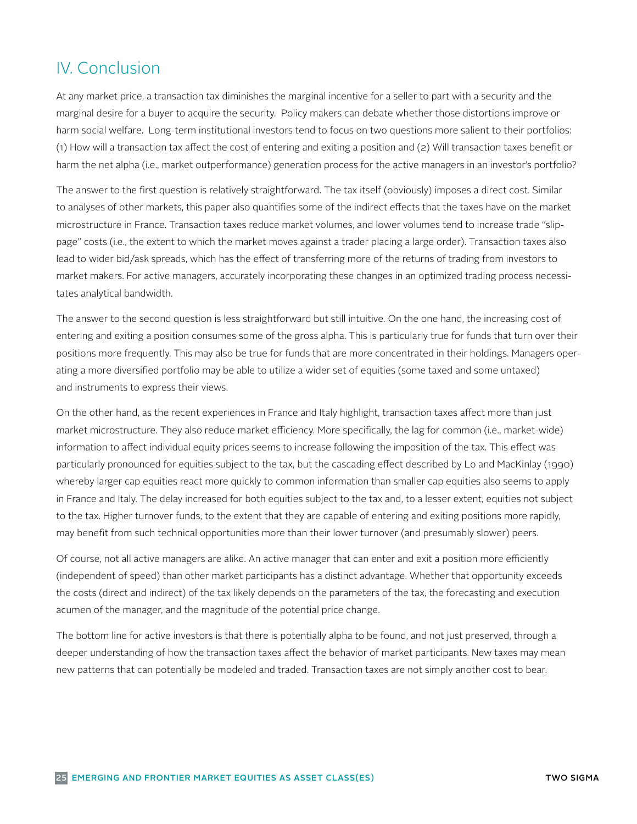# IV. Conclusion

At any market price, a transaction tax diminishes the marginal incentive for a seller to part with a security and the marginal desire for a buyer to acquire the security. Policy makers can debate whether those distortions improve or harm social welfare. Long-term institutional investors tend to focus on two questions more salient to their portfolios: (1) How will a transaction tax affect the cost of entering and exiting a position and (2) Will transaction taxes benefit or harm the net alpha (i.e., market outperformance) generation process for the active managers in an investor's portfolio?

The answer to the first question is relatively straightforward. The tax itself (obviously) imposes a direct cost. Similar to analyses of other markets, this paper also quantifies some of the indirect effects that the taxes have on the market microstructure in France. Transaction taxes reduce market volumes, and lower volumes tend to increase trade "slippage" costs (i.e., the extent to which the market moves against a trader placing a large order). Transaction taxes also lead to wider bid/ask spreads, which has the effect of transferring more of the returns of trading from investors to market makers. For active managers, accurately incorporating these changes in an optimized trading process necessitates analytical bandwidth.

The answer to the second question is less straightforward but still intuitive. On the one hand, the increasing cost of entering and exiting a position consumes some of the gross alpha. This is particularly true for funds that turn over their positions more frequently. This may also be true for funds that are more concentrated in their holdings. Managers operating a more diversified portfolio may be able to utilize a wider set of equities (some taxed and some untaxed) and instruments to express their views.

On the other hand, as the recent experiences in France and Italy highlight, transaction taxes affect more than just market microstructure. They also reduce market efficiency. More specifically, the lag for common (i.e., market-wide) information to affect individual equity prices seems to increase following the imposition of the tax. This effect was particularly pronounced for equities subject to the tax, but the cascading effect described by Lo and MacKinlay (1990) whereby larger cap equities react more quickly to common information than smaller cap equities also seems to apply in France and Italy. The delay increased for both equities subject to the tax and, to a lesser extent, equities not subject to the tax. Higher turnover funds, to the extent that they are capable of entering and exiting positions more rapidly, may benefit from such technical opportunities more than their lower turnover (and presumably slower) peers.

Of course, not all active managers are alike. An active manager that can enter and exit a position more efficiently (independent of speed) than other market participants has a distinct advantage. Whether that opportunity exceeds the costs (direct and indirect) of the tax likely depends on the parameters of the tax, the forecasting and execution acumen of the manager, and the magnitude of the potential price change.

The bottom line for active investors is that there is potentially alpha to be found, and not just preserved, through a deeper understanding of how the transaction taxes affect the behavior of market participants. New taxes may mean new patterns that can potentially be modeled and traded. Transaction taxes are not simply another cost to bear.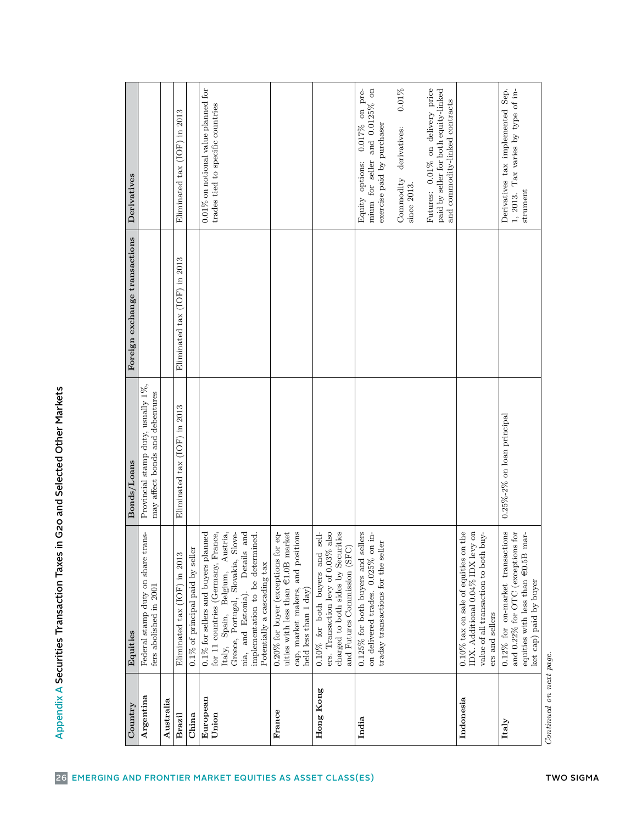| $\rm Country$     | Equities                                                                                                                                                                                                                                                                     | Bonds/Loans                                                           | Foreign exchange transactions | Derivatives                                                                                                                                                                                 |
|-------------------|------------------------------------------------------------------------------------------------------------------------------------------------------------------------------------------------------------------------------------------------------------------------------|-----------------------------------------------------------------------|-------------------------------|---------------------------------------------------------------------------------------------------------------------------------------------------------------------------------------------|
| Argentina         | share trans-<br>Federal stamp duty on<br>fers abolished in 2001                                                                                                                                                                                                              | Provincial stamp duty, usually 1%,<br>may affect bonds and debentures |                               |                                                                                                                                                                                             |
| Australia         |                                                                                                                                                                                                                                                                              |                                                                       |                               |                                                                                                                                                                                             |
| <b>Brazil</b>     | in 2013<br>(IOF)<br>Eliminated tax                                                                                                                                                                                                                                           | Eliminated tax (IOF) in 2013                                          | Eliminated tax (IOF) in 2013  | Eliminated tax (IOF) in 2013                                                                                                                                                                |
| China             | 0.1% of principal paid by seller                                                                                                                                                                                                                                             |                                                                       |                               |                                                                                                                                                                                             |
| European<br>Union | for 11 countries (Germany, France,<br>Austria,<br>and<br>$0.1\%$ for sellers and buyers planned<br>Greece, Portugal, Slovakia, Slove-<br>implementation to be determined.<br>Details<br>Potentially a cascading tax<br>Belgium,<br>Estonia).<br>Spain,<br>nia, and<br>Italy, |                                                                       |                               | $0.01\%$ on notional value planned for<br>trades tied to specific countries                                                                                                                 |
| France            | and positions<br>uities with less than $\in$ 1.0B market<br>$0.20\%$ for buyer (exceptions for eq-<br>cap, market makers,<br>held less than 1 day)                                                                                                                           |                                                                       |                               |                                                                                                                                                                                             |
| Hong Kong         | also<br>charged to both sides by Securities<br>sell-<br>and Futures Commission (SFC)<br>ers. Transaction levy of 0.03%<br>$0.10\%$ for both buyers and                                                                                                                       |                                                                       |                               |                                                                                                                                                                                             |
| India             | $0.125\%$ for both buyers and sellers<br>on delivered trades. 0.025% on in-<br>traday transactions for the seller                                                                                                                                                            |                                                                       |                               | mium for seller and 0.0125% on<br>$0.01\%$<br>$0.017\%$ on pre-<br>exercise paid by purchaser<br>derivatives:<br>Equity options:<br>$\label{eq:commutator} \text{Commodity}$<br>since 2013. |
|                   |                                                                                                                                                                                                                                                                              |                                                                       |                               | Futures: 0.01% on delivery price<br>paid by seller for both equity-linked<br>and commodity-linked contracts                                                                                 |
| Indonesia         | 0.10% tax on sale of equities on the<br>IDX. Additional 0.04% IDX levy on<br>value of all transaction to both buy-<br>ers and sellers                                                                                                                                        |                                                                       |                               |                                                                                                                                                                                             |
| Italy             | $0.12\%$ for on-market transactions<br>and 0.22% for OTC (exceptions for<br>equities with less than $\in 0.5B$ mar-<br>ket cap) paid by buyer                                                                                                                                | $0.25\% - 2\%$ on loan principal                                      |                               | Derivatives tax implemented Sep.<br>1, 2013. Tax varies by type of in-<br>strument                                                                                                          |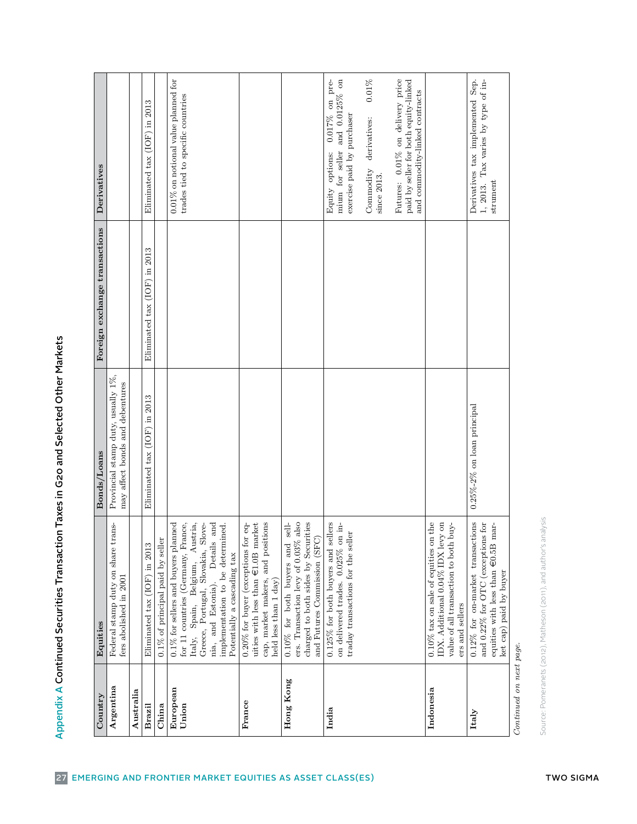| ١                                                                                |
|----------------------------------------------------------------------------------|
| l                                                                                |
|                                                                                  |
|                                                                                  |
|                                                                                  |
| l                                                                                |
| ֧֧ׅ֧ׅ֧֧֧֧ׅ֧ׅ֧ׅ֧ׅ֧ׅ֧֧ׅ֧֧֧ׅ֧֧֧֚֚֚֚֚֚֚֚֚֚֚֚֚֚֚֚֚֚֚֚֚֚֚֚֚֚֚֝֝֜֝֬֝֓֝֓֜֜֜֜֜֝֬֜֝֬֝֬֜֝֬֝ |
|                                                                                  |
|                                                                                  |
|                                                                                  |
|                                                                                  |
| $\ddot{\phantom{a}}$                                                             |
|                                                                                  |
|                                                                                  |
|                                                                                  |
|                                                                                  |
|                                                                                  |
| l                                                                                |
|                                                                                  |
|                                                                                  |
|                                                                                  |
|                                                                                  |
|                                                                                  |
|                                                                                  |
|                                                                                  |
|                                                                                  |
|                                                                                  |
|                                                                                  |
|                                                                                  |
|                                                                                  |
|                                                                                  |
|                                                                                  |
|                                                                                  |
|                                                                                  |
|                                                                                  |
|                                                                                  |
|                                                                                  |
|                                                                                  |
|                                                                                  |
|                                                                                  |

| Country                 | Equities                                                                                                                                                                                                                                                            | Bonds/Loans                                                           | Foreign exchange transactions   | Derivatives                                                                                                       |
|-------------------------|---------------------------------------------------------------------------------------------------------------------------------------------------------------------------------------------------------------------------------------------------------------------|-----------------------------------------------------------------------|---------------------------------|-------------------------------------------------------------------------------------------------------------------|
| Argentina               | Federal stamp duty on share trans-<br>fers abolished in 2001                                                                                                                                                                                                        | Provincial stamp duty, usually 1%,<br>may affect bonds and debentures |                                 |                                                                                                                   |
| Australia               |                                                                                                                                                                                                                                                                     |                                                                       |                                 |                                                                                                                   |
| <b>Brazi</b>            | 2013<br>Eliminated tax (IOF) in                                                                                                                                                                                                                                     | Eliminated tax (IOF) in 2013                                          | in 2013<br>Eliminated tax (IOF) | 2013<br>$\Xi$<br>Eliminated tax (IOF)                                                                             |
| China                   | $0.1\%$ of principal paid by seller                                                                                                                                                                                                                                 |                                                                       |                                 |                                                                                                                   |
| European<br>Union       | $0.1\%$ for sellers and buyers planned<br>for 11 countries (Germany, France,<br>Austria,<br>and<br>Greece, Portugal, Slovakia, Slove-<br>implementation to be determined.<br>Details<br>Potentially a cascading tax<br>Italy, Spain, Belgium,<br>nia, and Estonia). |                                                                       |                                 | $0.01\%$ on notional value planned for<br>trades tied to specific countries                                       |
| France                  | cap, market makers, and positions<br>$0.20\%$ for buyer (exceptions for equities with less than $\in$ 1.0B market<br>$0.20\%$ for buyer (exceptions for<br>held less than 1 day                                                                                     |                                                                       |                                 |                                                                                                                   |
| Hong Kong               | ers. Transaction levy of $0.03\%$ also<br>charged to both sides by Securities<br>subl<br>and Futures Commission (SFC)<br>and<br>$0.10\%$ for both buyers                                                                                                            |                                                                       |                                 |                                                                                                                   |
| India                   | $0.125\%$ for both buyers and sellers<br>$\dot{a}$<br>traday transactions for the seller<br>on delivered trades. 0.025% on                                                                                                                                          |                                                                       |                                 | mium for seller and 0.0125% on<br>pre-<br>$0.017\%$ on<br>exercise paid by purchaser<br>Equity options:           |
|                         |                                                                                                                                                                                                                                                                     |                                                                       |                                 | $0.01\%$<br>derivatives:<br>$\label{eq:1} \textbf{Commodity}$<br>since 2013.                                      |
|                         |                                                                                                                                                                                                                                                                     |                                                                       |                                 | $0.01\%$ on delivery price<br>paid by seller for both equity-linked<br>and commodity-linked contracts<br>Futures: |
| Indonesia               | the<br>IDX. Additional 0.04% IDX levy on<br>value of all transaction to both buy-<br>$0.10\%$ tax on sale of equities on<br>ers and sellers                                                                                                                         |                                                                       |                                 |                                                                                                                   |
| $\mathrm{Italy}$        | $0.12\%$ for on-market transactions<br>and 0.22% for OTC (exceptions for<br>equities with less than $\in 0.5B$ mar-<br>ket cap) paid by buyer                                                                                                                       | $0.25\% - 2\%$ on loan principal                                      |                                 | Derivatives tax implemented Sep.<br>Tax varies by type of in-<br>strument<br>1, 2013.                             |
| Continued on next page. |                                                                                                                                                                                                                                                                     |                                                                       |                                 |                                                                                                                   |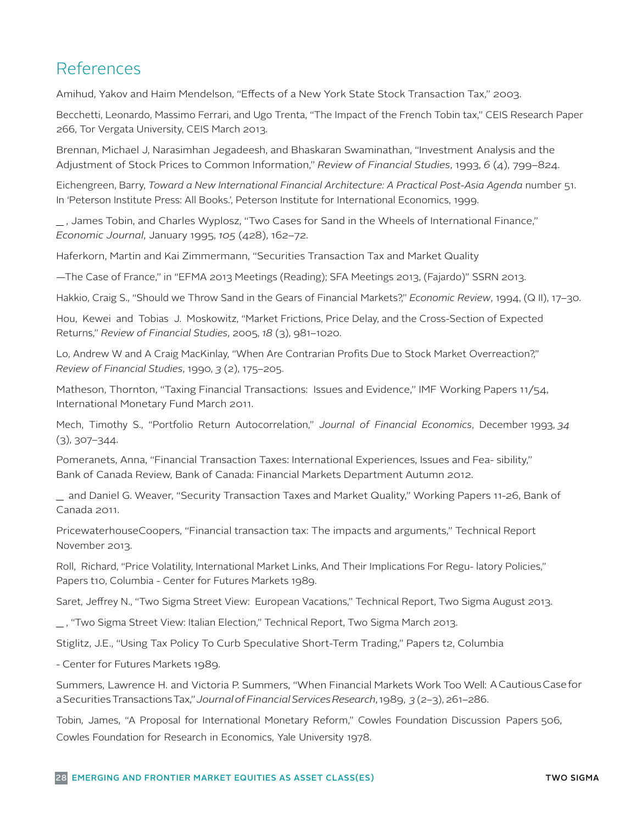# References

Amihud, Yakov and Haim Mendelson, "Effects of a New York State Stock Transaction Tax," 2003.

Becchetti, Leonardo, Massimo Ferrari, and Ugo Trenta, "The Impact of the French Tobin tax," CEIS Research Paper 266, Tor Vergata University, CEIS March 2013.

Brennan, Michael J, Narasimhan Jegadeesh, and Bhaskaran Swaminathan, "Investment Analysis and the Adjustment of Stock Prices to Common Information," *Review of Financial Studies*, 1993, *6* (4), 799–824.

Eichengreen, Barry, *Toward a New International Financial Architecture: A Practical Post-Asia Agenda* number 51. In 'Peterson Institute Press: All Books.', Peterson Institute for International Economics, 1999.

 , James Tobin, and Charles Wyplosz, "Two Cases for Sand in the Wheels of International Finance," *Economic Journal*, January 1995, *105* (428), 162–72.

Haferkorn, Martin and Kai Zimmermann, "Securities Transaction Tax and Market Quality

—The Case of France," in "EFMA 2013 Meetings (Reading); SFA Meetings 2013, (Fajardo)" SSRN 2013.

Hakkio, Craig S., "Should we Throw Sand in the Gears of Financial Markets?," *Economic Review*, 1994, (Q II), 17–30.

Hou, Kewei and Tobias J. Moskowitz, "Market Frictions, Price Delay, and the Cross-Section of Expected Returns," *Review of Financial Studies*, 2005, *18* (3), 981–1020.

Lo, Andrew W and A Craig MacKinlay, "When Are Contrarian Profits Due to Stock Market Overreaction?," *Review of Financial Studies*, 1990, *3* (2), 175–205.

Matheson, Thornton, "Taxing Financial Transactions: Issues and Evidence," IMF Working Papers 11/54, International Monetary Fund March 2011.

Mech, Timothy S., "Portfolio Return Autocorrelation," *Journal of Financial Economics*, December 1993, *34*  (3), 307–344.

Pomeranets, Anna, "Financial Transaction Taxes: International Experiences, Issues and Fea- sibility," Bank of Canada Review, Bank of Canada: Financial Markets Department Autumn 2012.

 and Daniel G. Weaver, "Security Transaction Taxes and Market Quality," Working Papers 11-26, Bank of Canada 2011.

PricewaterhouseCoopers, "Financial transaction tax: The impacts and arguments," Technical Report November 2013.

Roll, Richard, "Price Volatility, International Market Links, And Their Implications For Regu- latory Policies," Papers t10, Columbia - Center for Futures Markets 1989.

Saret, Jeffrey N., "Two Sigma Street View: European Vacations," Technical Report, Two Sigma August 2013.

, "Two Sigma Street View: Italian Election," Technical Report, Two Sigma March 2013.

Stiglitz, J.E., "Using Tax Policy To Curb Speculative Short-Term Trading," Papers t2, Columbia

- Center for Futures Markets 1989.

Summers, Lawrence H. and Victoria P. Summers, "When Financial Markets Work Too Well: A Cautious Case for a Securities Transactions Tax," *Journal of Financial Services Research*, 1989, *3* (2–3), 261–286.

Tobin, James, "A Proposal for International Monetary Reform," Cowles Foundation Discussion Papers 506, Cowles Foundation for Research in Economics, Yale University 1978.